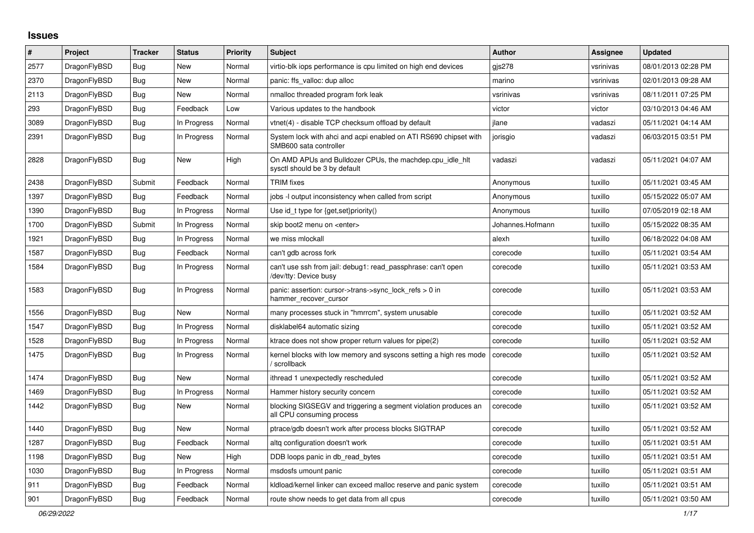## **Issues**

| $\vert$ # | Project      | <b>Tracker</b> | <b>Status</b> | <b>Priority</b> | <b>Subject</b>                                                                               | <b>Author</b>    | <b>Assignee</b> | <b>Updated</b>      |
|-----------|--------------|----------------|---------------|-----------------|----------------------------------------------------------------------------------------------|------------------|-----------------|---------------------|
| 2577      | DragonFlyBSD | Bug            | New           | Normal          | virtio-blk iops performance is cpu limited on high end devices                               | gis278           | vsrinivas       | 08/01/2013 02:28 PM |
| 2370      | DragonFlyBSD | Bug            | New           | Normal          | panic: ffs valloc: dup alloc                                                                 | marino           | vsrinivas       | 02/01/2013 09:28 AM |
| 2113      | DragonFlyBSD | <b>Bug</b>     | New           | Normal          | nmalloc threaded program fork leak                                                           | vsrinivas        | vsrinivas       | 08/11/2011 07:25 PM |
| 293       | DragonFlyBSD | Bug            | Feedback      | Low             | Various updates to the handbook                                                              | victor           | victor          | 03/10/2013 04:46 AM |
| 3089      | DragonFlyBSD | <b>Bug</b>     | In Progress   | Normal          | vtnet(4) - disable TCP checksum offload by default                                           | jlane            | vadaszi         | 05/11/2021 04:14 AM |
| 2391      | DragonFlyBSD | <b>Bug</b>     | In Progress   | Normal          | System lock with ahci and acpi enabled on ATI RS690 chipset with<br>SMB600 sata controller   | jorisgio         | vadaszi         | 06/03/2015 03:51 PM |
| 2828      | DragonFlyBSD | <b>Bug</b>     | New           | High            | On AMD APUs and Bulldozer CPUs, the machdep.cpu idle hit<br>sysctl should be 3 by default    | vadaszi          | vadaszi         | 05/11/2021 04:07 AM |
| 2438      | DragonFlyBSD | Submit         | Feedback      | Normal          | <b>TRIM</b> fixes                                                                            | Anonymous        | tuxillo         | 05/11/2021 03:45 AM |
| 1397      | DragonFlyBSD | Bug            | Feedback      | Normal          | jobs -I output inconsistency when called from script                                         | Anonymous        | tuxillo         | 05/15/2022 05:07 AM |
| 1390      | DragonFlyBSD | <b>Bug</b>     | In Progress   | Normal          | Use id_t type for {get, set}priority()                                                       | Anonymous        | tuxillo         | 07/05/2019 02:18 AM |
| 1700      | DragonFlyBSD | Submit         | In Progress   | Normal          | skip boot2 menu on <enter></enter>                                                           | Johannes.Hofmann | tuxillo         | 05/15/2022 08:35 AM |
| 1921      | DragonFlyBSD | <b>Bug</b>     | In Progress   | Normal          | we miss mlockall                                                                             | alexh            | tuxillo         | 06/18/2022 04:08 AM |
| 1587      | DragonFlyBSD | Bug            | Feedback      | Normal          | can't gdb across fork                                                                        | corecode         | tuxillo         | 05/11/2021 03:54 AM |
| 1584      | DragonFlyBSD | Bug            | In Progress   | Normal          | can't use ssh from jail: debug1: read_passphrase: can't open<br>/dev/tty: Device busy        | corecode         | tuxillo         | 05/11/2021 03:53 AM |
| 1583      | DragonFlyBSD | Bug            | In Progress   | Normal          | panic: assertion: cursor->trans->sync_lock_refs > 0 in<br>hammer_recover_cursor              | corecode         | tuxillo         | 05/11/2021 03:53 AM |
| 1556      | DragonFlyBSD | Bug            | New           | Normal          | many processes stuck in "hmrrcm", system unusable                                            | corecode         | tuxillo         | 05/11/2021 03:52 AM |
| 1547      | DragonFlyBSD | Bug            | In Progress   | Normal          | disklabel64 automatic sizing                                                                 | corecode         | tuxillo         | 05/11/2021 03:52 AM |
| 1528      | DragonFlyBSD | <b>Bug</b>     | In Progress   | Normal          | ktrace does not show proper return values for pipe(2)                                        | corecode         | tuxillo         | 05/11/2021 03:52 AM |
| 1475      | DragonFlyBSD | Bug            | In Progress   | Normal          | kernel blocks with low memory and syscons setting a high res mode<br>/ scrollback            | corecode         | tuxillo         | 05/11/2021 03:52 AM |
| 1474      | DragonFlyBSD | <b>Bug</b>     | <b>New</b>    | Normal          | ithread 1 unexpectedly rescheduled                                                           | corecode         | tuxillo         | 05/11/2021 03:52 AM |
| 1469      | DragonFlyBSD | Bug            | In Progress   | Normal          | Hammer history security concern                                                              | corecode         | tuxillo         | 05/11/2021 03:52 AM |
| 1442      | DragonFlyBSD | Bug            | New           | Normal          | blocking SIGSEGV and triggering a segment violation produces an<br>all CPU consuming process | corecode         | tuxillo         | 05/11/2021 03:52 AM |
| 1440      | DragonFlyBSD | <b>Bug</b>     | <b>New</b>    | Normal          | ptrace/gdb doesn't work after process blocks SIGTRAP                                         | corecode         | tuxillo         | 05/11/2021 03:52 AM |
| 1287      | DragonFlyBSD | <b>Bug</b>     | Feedback      | Normal          | altg configuration doesn't work                                                              | corecode         | tuxillo         | 05/11/2021 03:51 AM |
| 1198      | DragonFlyBSD | <b>Bug</b>     | New           | High            | DDB loops panic in db_read_bytes                                                             | corecode         | tuxillo         | 05/11/2021 03:51 AM |
| 1030      | DragonFlyBSD | Bug            | In Progress   | Normal          | msdosfs umount panic                                                                         | corecode         | tuxillo         | 05/11/2021 03:51 AM |
| 911       | DragonFlyBSD | Bug            | Feedback      | Normal          | kldload/kernel linker can exceed malloc reserve and panic system                             | corecode         | tuxillo         | 05/11/2021 03:51 AM |
| 901       | DragonFlyBSD | Bug            | Feedback      | Normal          | route show needs to get data from all cpus                                                   | corecode         | tuxillo         | 05/11/2021 03:50 AM |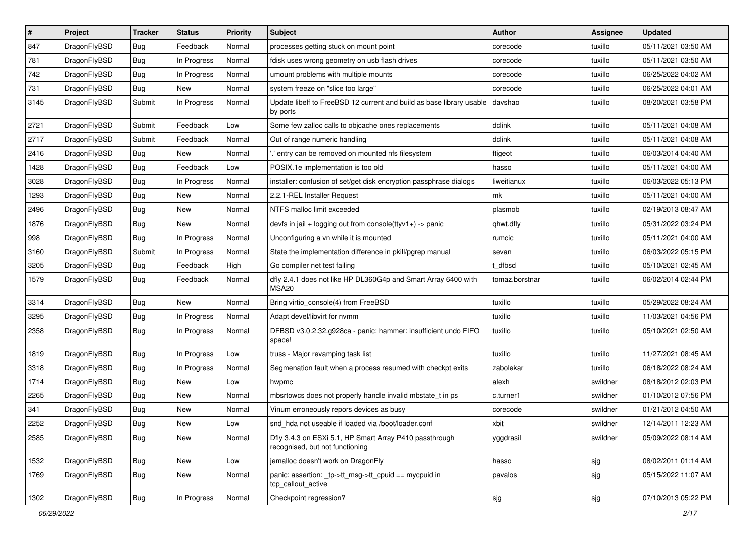| #    | Project      | <b>Tracker</b> | <b>Status</b> | <b>Priority</b> | <b>Subject</b>                                                                             | Author         | <b>Assignee</b> | <b>Updated</b>      |
|------|--------------|----------------|---------------|-----------------|--------------------------------------------------------------------------------------------|----------------|-----------------|---------------------|
| 847  | DragonFlyBSD | <b>Bug</b>     | Feedback      | Normal          | processes getting stuck on mount point                                                     | corecode       | tuxillo         | 05/11/2021 03:50 AM |
| 781  | DragonFlyBSD | <b>Bug</b>     | In Progress   | Normal          | fdisk uses wrong geometry on usb flash drives                                              | corecode       | tuxillo         | 05/11/2021 03:50 AM |
| 742  | DragonFlyBSD | Bug            | In Progress   | Normal          | umount problems with multiple mounts                                                       | corecode       | tuxillo         | 06/25/2022 04:02 AM |
| 731  | DragonFlyBSD | Bug            | New           | Normal          | system freeze on "slice too large"                                                         | corecode       | tuxillo         | 06/25/2022 04:01 AM |
| 3145 | DragonFlyBSD | Submit         | In Progress   | Normal          | Update libelf to FreeBSD 12 current and build as base library usable<br>by ports           | davshao        | tuxillo         | 08/20/2021 03:58 PM |
| 2721 | DragonFlyBSD | Submit         | Feedback      | Low             | Some few zalloc calls to objcache ones replacements                                        | dclink         | tuxillo         | 05/11/2021 04:08 AM |
| 2717 | DragonFlyBSD | Submit         | Feedback      | Normal          | Out of range numeric handling                                                              | dclink         | tuxillo         | 05/11/2021 04:08 AM |
| 2416 | DragonFlyBSD | <b>Bug</b>     | <b>New</b>    | Normal          | ' entry can be removed on mounted nfs filesystem                                           | ftigeot        | tuxillo         | 06/03/2014 04:40 AM |
| 1428 | DragonFlyBSD | <b>Bug</b>     | Feedback      | Low             | POSIX.1e implementation is too old                                                         | hasso          | tuxillo         | 05/11/2021 04:00 AM |
| 3028 | DragonFlyBSD | <b>Bug</b>     | In Progress   | Normal          | installer: confusion of set/get disk encryption passphrase dialogs                         | liweitianux    | tuxillo         | 06/03/2022 05:13 PM |
| 1293 | DragonFlyBSD | Bug            | <b>New</b>    | Normal          | 2.2.1-REL Installer Request                                                                | mk             | tuxillo         | 05/11/2021 04:00 AM |
| 2496 | DragonFlyBSD | Bug            | <b>New</b>    | Normal          | NTFS malloc limit exceeded                                                                 | plasmob        | tuxillo         | 02/19/2013 08:47 AM |
| 1876 | DragonFlyBSD | <b>Bug</b>     | <b>New</b>    | Normal          | devfs in jail + logging out from console(ttyv1+) -> panic                                  | qhwt.dfly      | tuxillo         | 05/31/2022 03:24 PM |
| 998  | DragonFlyBSD | <b>Bug</b>     | In Progress   | Normal          | Unconfiguring a vn while it is mounted                                                     | rumcic         | tuxillo         | 05/11/2021 04:00 AM |
| 3160 | DragonFlyBSD | Submit         | In Progress   | Normal          | State the implementation difference in pkill/pgrep manual                                  | sevan          | tuxillo         | 06/03/2022 05:15 PM |
| 3205 | DragonFlyBSD | <b>Bug</b>     | Feedback      | High            | Go compiler net test failing                                                               | dfbsd          | tuxillo         | 05/10/2021 02:45 AM |
| 1579 | DragonFlyBSD | <b>Bug</b>     | Feedback      | Normal          | dfly 2.4.1 does not like HP DL360G4p and Smart Array 6400 with<br>MSA20                    | tomaz.borstnar | tuxillo         | 06/02/2014 02:44 PM |
| 3314 | DragonFlyBSD | Bug            | <b>New</b>    | Normal          | Bring virtio_console(4) from FreeBSD                                                       | tuxillo        | tuxillo         | 05/29/2022 08:24 AM |
| 3295 | DragonFlyBSD | <b>Bug</b>     | In Progress   | Normal          | Adapt devel/libvirt for nvmm                                                               | tuxillo        | tuxillo         | 11/03/2021 04:56 PM |
| 2358 | DragonFlyBSD | Bug            | In Progress   | Normal          | DFBSD v3.0.2.32.g928ca - panic: hammer: insufficient undo FIFO<br>space!                   | tuxillo        | tuxillo         | 05/10/2021 02:50 AM |
| 1819 | DragonFlyBSD | <b>Bug</b>     | In Progress   | Low             | truss - Major revamping task list                                                          | tuxillo        | tuxillo         | 11/27/2021 08:45 AM |
| 3318 | DragonFlyBSD | <b>Bug</b>     | In Progress   | Normal          | Segmenation fault when a process resumed with checkpt exits                                | zabolekar      | tuxillo         | 06/18/2022 08:24 AM |
| 1714 | DragonFlyBSD | <b>Bug</b>     | <b>New</b>    | Low             | hwpmc                                                                                      | alexh          | swildner        | 08/18/2012 02:03 PM |
| 2265 | DragonFlyBSD | <b>Bug</b>     | New           | Normal          | mbsrtowcs does not properly handle invalid mbstate_t in ps                                 | c.turner1      | swildner        | 01/10/2012 07:56 PM |
| 341  | DragonFlyBSD | Bug            | <b>New</b>    | Normal          | Vinum erroneously repors devices as busy                                                   | corecode       | swildner        | 01/21/2012 04:50 AM |
| 2252 | DragonFlyBSD | Bug            | New           | Low             | snd_hda not useable if loaded via /boot/loader.conf                                        | xbit           | swildner        | 12/14/2011 12:23 AM |
| 2585 | DragonFlyBSD | Bug            | New           | Normal          | Dfly 3.4.3 on ESXi 5.1, HP Smart Array P410 passthrough<br>recognised, but not functioning | yggdrasil      | swildner        | 05/09/2022 08:14 AM |
| 1532 | DragonFlyBSD | <b>Bug</b>     | New           | Low             | jemalloc doesn't work on DragonFly                                                         | hasso          | sjg             | 08/02/2011 01:14 AM |
| 1769 | DragonFlyBSD | Bug            | New           | Normal          | panic: assertion: tp->tt_msg->tt_cpuid == mycpuid in<br>tcp_callout_active                 | pavalos        | sjg             | 05/15/2022 11:07 AM |
| 1302 | DragonFlyBSD | Bug            | In Progress   | Normal          | Checkpoint regression?                                                                     | sjg            | sjg             | 07/10/2013 05:22 PM |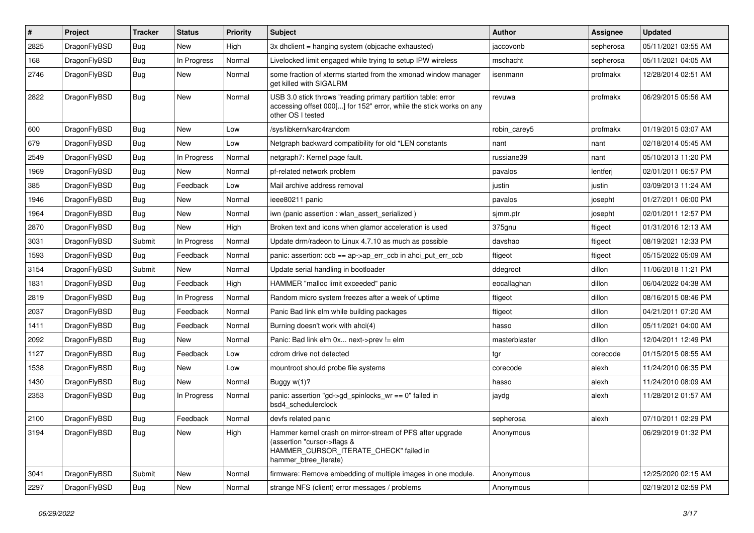| #    | Project      | <b>Tracker</b> | <b>Status</b> | <b>Priority</b> | <b>Subject</b>                                                                                                                                              | <b>Author</b> | <b>Assignee</b> | <b>Updated</b>      |
|------|--------------|----------------|---------------|-----------------|-------------------------------------------------------------------------------------------------------------------------------------------------------------|---------------|-----------------|---------------------|
| 2825 | DragonFlyBSD | <b>Bug</b>     | New           | High            | 3x dhclient = hanging system (objcache exhausted)                                                                                                           | iaccovonb     | sepherosa       | 05/11/2021 03:55 AM |
| 168  | DragonFlyBSD | Bug            | In Progress   | Normal          | Livelocked limit engaged while trying to setup IPW wireless                                                                                                 | mschacht      | sepherosa       | 05/11/2021 04:05 AM |
| 2746 | DragonFlyBSD | <b>Bug</b>     | New           | Normal          | some fraction of xterms started from the xmonad window manager<br>get killed with SIGALRM                                                                   | isenmann      | profmakx        | 12/28/2014 02:51 AM |
| 2822 | DragonFlyBSD | <b>Bug</b>     | <b>New</b>    | Normal          | USB 3.0 stick throws "reading primary partition table: error<br>accessing offset 000[] for 152" error, while the stick works on any<br>other OS I tested    | revuwa        | profmakx        | 06/29/2015 05:56 AM |
| 600  | DragonFlyBSD | Bug            | <b>New</b>    | Low             | /sys/libkern/karc4random                                                                                                                                    | robin carey5  | profmakx        | 01/19/2015 03:07 AM |
| 679  | DragonFlyBSD | <b>Bug</b>     | <b>New</b>    | Low             | Netgraph backward compatibility for old *LEN constants                                                                                                      | nant          | nant            | 02/18/2014 05:45 AM |
| 2549 | DragonFlyBSD | Bug            | In Progress   | Normal          | netgraph7: Kernel page fault.                                                                                                                               | russiane39    | nant            | 05/10/2013 11:20 PM |
| 1969 | DragonFlyBSD | <b>Bug</b>     | New           | Normal          | pf-related network problem                                                                                                                                  | pavalos       | lentferj        | 02/01/2011 06:57 PM |
| 385  | DragonFlyBSD | <b>Bug</b>     | Feedback      | Low             | Mail archive address removal                                                                                                                                | justin        | justin          | 03/09/2013 11:24 AM |
| 1946 | DragonFlyBSD | <b>Bug</b>     | <b>New</b>    | Normal          | ieee80211 panic                                                                                                                                             | pavalos       | josepht         | 01/27/2011 06:00 PM |
| 1964 | DragonFlyBSD | <b>Bug</b>     | <b>New</b>    | Normal          | iwn (panic assertion : wlan assert serialized)                                                                                                              | sjmm.ptr      | josepht         | 02/01/2011 12:57 PM |
| 2870 | DragonFlyBSD | <b>Bug</b>     | New           | High            | Broken text and icons when glamor acceleration is used                                                                                                      | 375gnu        | ftigeot         | 01/31/2016 12:13 AM |
| 3031 | DragonFlyBSD | Submit         | In Progress   | Normal          | Update drm/radeon to Linux 4.7.10 as much as possible                                                                                                       | davshao       | ftigeot         | 08/19/2021 12:33 PM |
| 1593 | DragonFlyBSD | Bug            | Feedback      | Normal          | panic: assertion: $\cosh = a$ p->ap err $\cosh$ in ahci put err $\cosh$                                                                                     | ftigeot       | ftigeot         | 05/15/2022 05:09 AM |
| 3154 | DragonFlyBSD | Submit         | New           | Normal          | Update serial handling in bootloader                                                                                                                        | ddegroot      | dillon          | 11/06/2018 11:21 PM |
| 1831 | DragonFlyBSD | <b>Bug</b>     | Feedback      | High            | HAMMER "malloc limit exceeded" panic                                                                                                                        | eocallaghan   | dillon          | 06/04/2022 04:38 AM |
| 2819 | DragonFlyBSD | <b>Bug</b>     | In Progress   | Normal          | Random micro system freezes after a week of uptime                                                                                                          | ftigeot       | dillon          | 08/16/2015 08:46 PM |
| 2037 | DragonFlyBSD | <b>Bug</b>     | Feedback      | Normal          | Panic Bad link elm while building packages                                                                                                                  | ftigeot       | dillon          | 04/21/2011 07:20 AM |
| 1411 | DragonFlyBSD | <b>Bug</b>     | Feedback      | Normal          | Burning doesn't work with ahci(4)                                                                                                                           | hasso         | dillon          | 05/11/2021 04:00 AM |
| 2092 | DragonFlyBSD | <b>Bug</b>     | New           | Normal          | Panic: Bad link elm 0x next->prev != elm                                                                                                                    | masterblaster | dillon          | 12/04/2011 12:49 PM |
| 1127 | DragonFlyBSD | <b>Bug</b>     | Feedback      | Low             | cdrom drive not detected                                                                                                                                    | tgr           | corecode        | 01/15/2015 08:55 AM |
| 1538 | DragonFlyBSD | <b>Bug</b>     | New           | Low             | mountroot should probe file systems                                                                                                                         | corecode      | alexh           | 11/24/2010 06:35 PM |
| 1430 | DragonFlyBSD | <b>Bug</b>     | New           | Normal          | Buggy w(1)?                                                                                                                                                 | hasso         | alexh           | 11/24/2010 08:09 AM |
| 2353 | DragonFlyBSD | <b>Bug</b>     | In Progress   | Normal          | panic: assertion "gd->gd_spinlocks_wr == 0" failed in<br>bsd4 schedulerclock                                                                                | jaydg         | alexh           | 11/28/2012 01:57 AM |
| 2100 | DragonFlyBSD | Bug            | Feedback      | Normal          | devfs related panic                                                                                                                                         | sepherosa     | alexh           | 07/10/2011 02:29 PM |
| 3194 | DragonFlyBSD | <b>Bug</b>     | New           | High            | Hammer kernel crash on mirror-stream of PFS after upgrade<br>(assertion "cursor->flags &<br>HAMMER_CURSOR_ITERATE_CHECK" failed in<br>hammer_btree_iterate) | Anonymous     |                 | 06/29/2019 01:32 PM |
| 3041 | DragonFlyBSD | Submit         | <b>New</b>    | Normal          | firmware: Remove embedding of multiple images in one module.                                                                                                | Anonymous     |                 | 12/25/2020 02:15 AM |
| 2297 | DragonFlyBSD | <b>Bug</b>     | New           | Normal          | strange NFS (client) error messages / problems                                                                                                              | Anonymous     |                 | 02/19/2012 02:59 PM |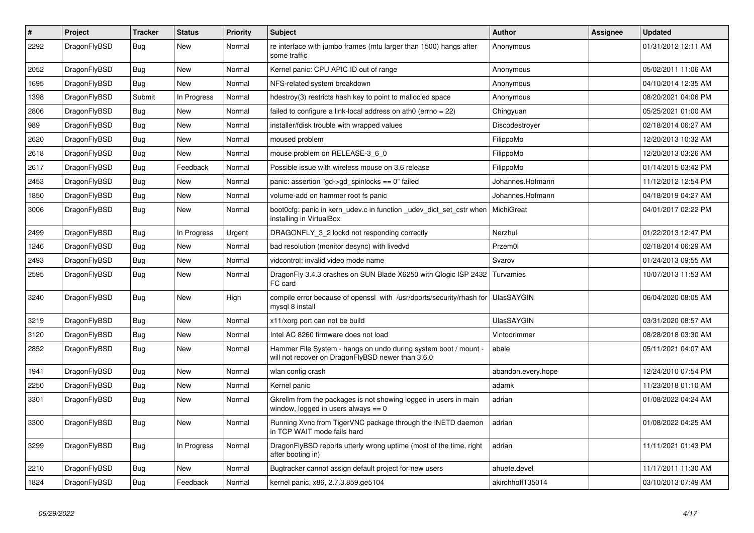| $\vert$ # | Project      | <b>Tracker</b> | <b>Status</b> | <b>Priority</b> | <b>Subject</b>                                                                                                       | <b>Author</b>      | Assignee | <b>Updated</b>      |
|-----------|--------------|----------------|---------------|-----------------|----------------------------------------------------------------------------------------------------------------------|--------------------|----------|---------------------|
| 2292      | DragonFlyBSD | <b>Bug</b>     | <b>New</b>    | Normal          | re interface with jumbo frames (mtu larger than 1500) hangs after<br>some traffic                                    | Anonymous          |          | 01/31/2012 12:11 AM |
| 2052      | DragonFlyBSD | <b>Bug</b>     | <b>New</b>    | Normal          | Kernel panic: CPU APIC ID out of range                                                                               | Anonymous          |          | 05/02/2011 11:06 AM |
| 1695      | DragonFlyBSD | <b>Bug</b>     | <b>New</b>    | Normal          | NFS-related system breakdown                                                                                         | Anonymous          |          | 04/10/2014 12:35 AM |
| 1398      | DragonFlyBSD | Submit         | In Progress   | Normal          | hdestroy(3) restricts hash key to point to malloc'ed space                                                           | Anonymous          |          | 08/20/2021 04:06 PM |
| 2806      | DragonFlyBSD | <b>Bug</b>     | New           | Normal          | failed to configure a link-local address on ath0 (errno = 22)                                                        | Chingyuan          |          | 05/25/2021 01:00 AM |
| 989       | DragonFlyBSD | Bug            | New           | Normal          | installer/fdisk trouble with wrapped values                                                                          | Discodestroyer     |          | 02/18/2014 06:27 AM |
| 2620      | DragonFlyBSD | <b>Bug</b>     | <b>New</b>    | Normal          | moused problem                                                                                                       | FilippoMo          |          | 12/20/2013 10:32 AM |
| 2618      | DragonFlyBSD | <b>Bug</b>     | <b>New</b>    | Normal          | mouse problem on RELEASE-3 6 0                                                                                       | FilippoMo          |          | 12/20/2013 03:26 AM |
| 2617      | DragonFlyBSD | Bug            | Feedback      | Normal          | Possible issue with wireless mouse on 3.6 release                                                                    | FilippoMo          |          | 01/14/2015 03:42 PM |
| 2453      | DragonFlyBSD | <b>Bug</b>     | New           | Normal          | panic: assertion "gd->gd spinlocks == $0$ " failed                                                                   | Johannes.Hofmann   |          | 11/12/2012 12:54 PM |
| 1850      | DragonFlyBSD | <b>Bug</b>     | <b>New</b>    | Normal          | volume-add on hammer root fs panic                                                                                   | Johannes.Hofmann   |          | 04/18/2019 04:27 AM |
| 3006      | DragonFlyBSD | Bug            | New           | Normal          | boot0cfg: panic in kern_udev.c in function _udev_dict_set_cstr when<br>installing in VirtualBox                      | MichiGreat         |          | 04/01/2017 02:22 PM |
| 2499      | DragonFlyBSD | Bug            | In Progress   | Urgent          | DRAGONFLY 3 2 lockd not responding correctly                                                                         | Nerzhul            |          | 01/22/2013 12:47 PM |
| 1246      | DragonFlyBSD | <b>Bug</b>     | New           | Normal          | bad resolution (monitor desync) with livedvd                                                                         | Przem0l            |          | 02/18/2014 06:29 AM |
| 2493      | DragonFlyBSD | Bug            | New           | Normal          | vidcontrol: invalid video mode name                                                                                  | Svarov             |          | 01/24/2013 09:55 AM |
| 2595      | DragonFlyBSD | Bug            | <b>New</b>    | Normal          | DragonFly 3.4.3 crashes on SUN Blade X6250 with Qlogic ISP 2432<br>FC card                                           | Turvamies          |          | 10/07/2013 11:53 AM |
| 3240      | DragonFlyBSD | <b>Bug</b>     | New           | High            | compile error because of openssl with /usr/dports/security/rhash for<br>mysql 8 install                              | <b>UlasSAYGIN</b>  |          | 06/04/2020 08:05 AM |
| 3219      | DragonFlyBSD | Bug            | <b>New</b>    | Normal          | x11/xorg port can not be build                                                                                       | <b>UlasSAYGIN</b>  |          | 03/31/2020 08:57 AM |
| 3120      | DragonFlyBSD | Bug            | <b>New</b>    | Normal          | Intel AC 8260 firmware does not load                                                                                 | Vintodrimmer       |          | 08/28/2018 03:30 AM |
| 2852      | DragonFlyBSD | <b>Bug</b>     | <b>New</b>    | Normal          | Hammer File System - hangs on undo during system boot / mount -<br>will not recover on DragonFlyBSD newer than 3.6.0 | abale              |          | 05/11/2021 04:07 AM |
| 1941      | DragonFlyBSD | <b>Bug</b>     | <b>New</b>    | Normal          | wlan config crash                                                                                                    | abandon.every.hope |          | 12/24/2010 07:54 PM |
| 2250      | DragonFlyBSD | Bug            | <b>New</b>    | Normal          | Kernel panic                                                                                                         | adamk              |          | 11/23/2018 01:10 AM |
| 3301      | DragonFlyBSD | <b>Bug</b>     | <b>New</b>    | Normal          | Gkrellm from the packages is not showing logged in users in main<br>window, logged in users always $== 0$            | adrian             |          | 01/08/2022 04:24 AM |
| 3300      | DragonFlyBSD | Bug            | <b>New</b>    | Normal          | Running Xvnc from TigerVNC package through the INETD daemon<br>in TCP WAIT mode fails hard                           | adrian             |          | 01/08/2022 04:25 AM |
| 3299      | DragonFlyBSD | <b>Bug</b>     | In Progress   | Normal          | DragonFlyBSD reports utterly wrong uptime (most of the time, right<br>after booting in)                              | adrian             |          | 11/11/2021 01:43 PM |
| 2210      | DragonFlyBSD | <b>Bug</b>     | <b>New</b>    | Normal          | Bugtracker cannot assign default project for new users                                                               | ahuete.devel       |          | 11/17/2011 11:30 AM |
| 1824      | DragonFlyBSD | Bug            | Feedback      | Normal          | kernel panic, x86, 2.7.3.859.ge5104                                                                                  | akirchhoff135014   |          | 03/10/2013 07:49 AM |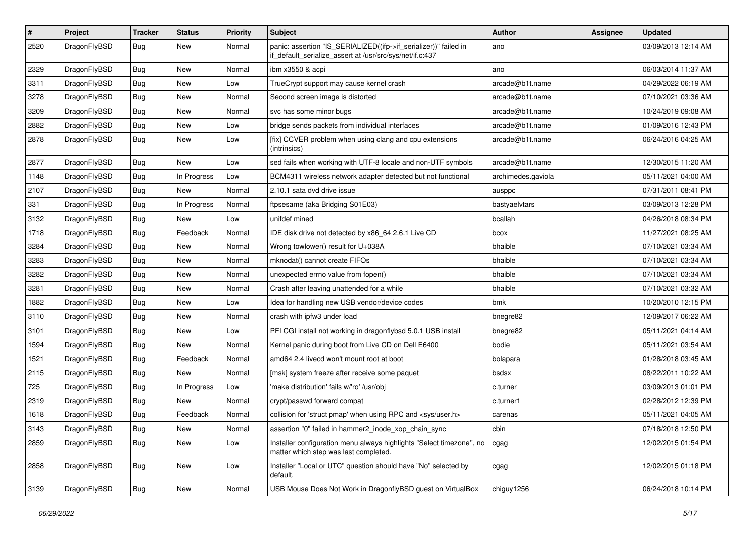| $\vert$ # | Project      | <b>Tracker</b> | <b>Status</b> | <b>Priority</b> | <b>Subject</b>                                                                                                               | Author             | Assignee | <b>Updated</b>      |
|-----------|--------------|----------------|---------------|-----------------|------------------------------------------------------------------------------------------------------------------------------|--------------------|----------|---------------------|
| 2520      | DragonFlyBSD | <b>Bug</b>     | New           | Normal          | panic: assertion "IS_SERIALIZED((ifp->if_serializer))" failed in<br>if_default_serialize_assert at /usr/src/sys/net/if.c:437 | ano                |          | 03/09/2013 12:14 AM |
| 2329      | DragonFlyBSD | Bug            | <b>New</b>    | Normal          | ibm x3550 & acpi                                                                                                             | ano                |          | 06/03/2014 11:37 AM |
| 3311      | DragonFlyBSD | Bug            | <b>New</b>    | Low             | TrueCrypt support may cause kernel crash                                                                                     | arcade@b1t.name    |          | 04/29/2022 06:19 AM |
| 3278      | DragonFlyBSD | Bug            | <b>New</b>    | Normal          | Second screen image is distorted                                                                                             | arcade@b1t.name    |          | 07/10/2021 03:36 AM |
| 3209      | DragonFlyBSD | <b>Bug</b>     | New           | Normal          | svc has some minor bugs                                                                                                      | arcade@b1t.name    |          | 10/24/2019 09:08 AM |
| 2882      | DragonFlyBSD | <b>Bug</b>     | <b>New</b>    | Low             | bridge sends packets from individual interfaces                                                                              | arcade@b1t.name    |          | 01/09/2016 12:43 PM |
| 2878      | DragonFlyBSD | Bug            | New           | Low             | [fix] CCVER problem when using clang and cpu extensions<br>(intrinsics)                                                      | arcade@b1t.name    |          | 06/24/2016 04:25 AM |
| 2877      | DragonFlyBSD | Bug            | <b>New</b>    | Low             | sed fails when working with UTF-8 locale and non-UTF symbols                                                                 | arcade@b1t.name    |          | 12/30/2015 11:20 AM |
| 1148      | DragonFlyBSD | <b>Bug</b>     | In Progress   | Low             | BCM4311 wireless network adapter detected but not functional                                                                 | archimedes.gaviola |          | 05/11/2021 04:00 AM |
| 2107      | DragonFlyBSD | Bug            | New           | Normal          | 2.10.1 sata dvd drive issue                                                                                                  | ausppc             |          | 07/31/2011 08:41 PM |
| 331       | DragonFlyBSD | <b>Bug</b>     | In Progress   | Normal          | ftpsesame (aka Bridging S01E03)                                                                                              | bastyaelvtars      |          | 03/09/2013 12:28 PM |
| 3132      | DragonFlyBSD | <b>Bug</b>     | New           | Low             | unifdef mined                                                                                                                | bcallah            |          | 04/26/2018 08:34 PM |
| 1718      | DragonFlyBSD | Bug            | Feedback      | Normal          | IDE disk drive not detected by x86_64 2.6.1 Live CD                                                                          | bcox               |          | 11/27/2021 08:25 AM |
| 3284      | DragonFlyBSD | <b>Bug</b>     | New           | Normal          | Wrong towlower() result for U+038A                                                                                           | bhaible            |          | 07/10/2021 03:34 AM |
| 3283      | DragonFlyBSD | Bug            | <b>New</b>    | Normal          | mknodat() cannot create FIFOs                                                                                                | bhaible            |          | 07/10/2021 03:34 AM |
| 3282      | DragonFlyBSD | Bug            | <b>New</b>    | Normal          | unexpected errno value from fopen()                                                                                          | bhaible            |          | 07/10/2021 03:34 AM |
| 3281      | DragonFlyBSD | <b>Bug</b>     | New           | Normal          | Crash after leaving unattended for a while                                                                                   | bhaible            |          | 07/10/2021 03:32 AM |
| 1882      | DragonFlyBSD | Bug            | <b>New</b>    | Low             | Idea for handling new USB vendor/device codes                                                                                | bmk                |          | 10/20/2010 12:15 PM |
| 3110      | DragonFlyBSD | Bug            | New           | Normal          | crash with ipfw3 under load                                                                                                  | bnegre82           |          | 12/09/2017 06:22 AM |
| 3101      | DragonFlyBSD | <b>Bug</b>     | <b>New</b>    | Low             | PFI CGI install not working in dragonflybsd 5.0.1 USB install                                                                | bnegre82           |          | 05/11/2021 04:14 AM |
| 1594      | DragonFlyBSD | Bug            | <b>New</b>    | Normal          | Kernel panic during boot from Live CD on Dell E6400                                                                          | bodie              |          | 05/11/2021 03:54 AM |
| 1521      | DragonFlyBSD | <b>Bug</b>     | Feedback      | Normal          | amd64 2.4 livecd won't mount root at boot                                                                                    | bolapara           |          | 01/28/2018 03:45 AM |
| 2115      | DragonFlyBSD | Bug            | New           | Normal          | [msk] system freeze after receive some paquet                                                                                | bsdsx              |          | 08/22/2011 10:22 AM |
| 725       | DragonFlyBSD | <b>Bug</b>     | In Progress   | Low             | 'make distribution' fails w/'ro' /usr/obj                                                                                    | c.turner           |          | 03/09/2013 01:01 PM |
| 2319      | DragonFlyBSD | Bug            | New           | Normal          | crypt/passwd forward compat                                                                                                  | c.turner1          |          | 02/28/2012 12:39 PM |
| 1618      | DragonFlyBSD | <b>Bug</b>     | Feedback      | Normal          | collision for 'struct pmap' when using RPC and <sys user.h=""></sys>                                                         | carenas            |          | 05/11/2021 04:05 AM |
| 3143      | DragonFlyBSD | Bug            | New           | Normal          | assertion "0" failed in hammer2_inode_xop_chain_sync                                                                         | cbin               |          | 07/18/2018 12:50 PM |
| 2859      | DragonFlyBSD | Bug            | New           | Low             | Installer configuration menu always highlights "Select timezone", no<br>matter which step was last completed.                | cgag               |          | 12/02/2015 01:54 PM |
| 2858      | DragonFlyBSD | Bug            | New           | Low             | Installer "Local or UTC" question should have "No" selected by<br>default.                                                   | cgag               |          | 12/02/2015 01:18 PM |
| 3139      | DragonFlyBSD | <b>Bug</b>     | New           | Normal          | USB Mouse Does Not Work in DragonflyBSD guest on VirtualBox                                                                  | chiguy1256         |          | 06/24/2018 10:14 PM |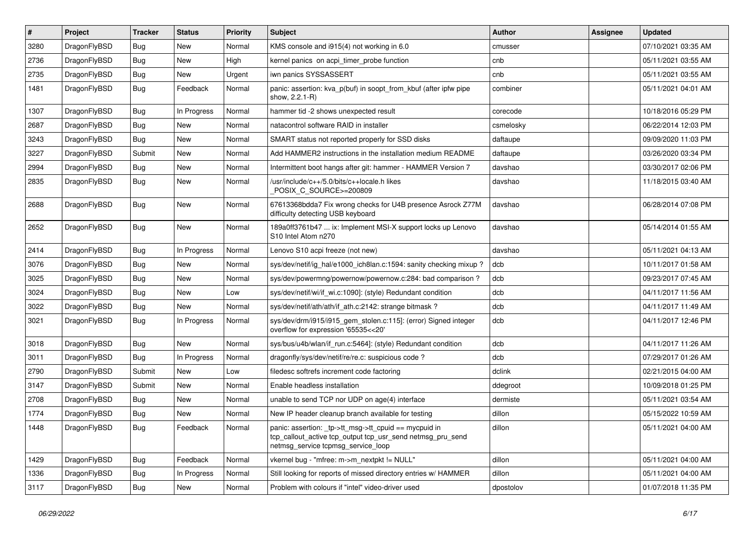| #    | Project      | <b>Tracker</b> | <b>Status</b> | <b>Priority</b> | <b>Subject</b>                                                                                                                                            | Author    | Assignee | <b>Updated</b>      |
|------|--------------|----------------|---------------|-----------------|-----------------------------------------------------------------------------------------------------------------------------------------------------------|-----------|----------|---------------------|
| 3280 | DragonFlyBSD | Bug            | <b>New</b>    | Normal          | KMS console and i915(4) not working in 6.0                                                                                                                | cmusser   |          | 07/10/2021 03:35 AM |
| 2736 | DragonFlyBSD | Bug            | <b>New</b>    | High            | kernel panics on acpi timer probe function                                                                                                                | cnb       |          | 05/11/2021 03:55 AM |
| 2735 | DragonFlyBSD | <b>Bug</b>     | New           | Urgent          | iwn panics SYSSASSERT                                                                                                                                     | cnb       |          | 05/11/2021 03:55 AM |
| 1481 | DragonFlyBSD | Bug            | Feedback      | Normal          | panic: assertion: kva_p(buf) in soopt_from_kbuf (after ipfw pipe<br>show, 2.2.1-R)                                                                        | combiner  |          | 05/11/2021 04:01 AM |
| 1307 | DragonFlyBSD | Bug            | In Progress   | Normal          | hammer tid -2 shows unexpected result                                                                                                                     | corecode  |          | 10/18/2016 05:29 PM |
| 2687 | DragonFlyBSD | <b>Bug</b>     | <b>New</b>    | Normal          | natacontrol software RAID in installer                                                                                                                    | csmelosky |          | 06/22/2014 12:03 PM |
| 3243 | DragonFlyBSD | <b>Bug</b>     | <b>New</b>    | Normal          | SMART status not reported properly for SSD disks                                                                                                          | daftaupe  |          | 09/09/2020 11:03 PM |
| 3227 | DragonFlyBSD | Submit         | <b>New</b>    | Normal          | Add HAMMER2 instructions in the installation medium README                                                                                                | daftaupe  |          | 03/26/2020 03:34 PM |
| 2994 | DragonFlyBSD | <b>Bug</b>     | <b>New</b>    | Normal          | Intermittent boot hangs after git: hammer - HAMMER Version 7                                                                                              | davshao   |          | 03/30/2017 02:06 PM |
| 2835 | DragonFlyBSD | <b>Bug</b>     | New           | Normal          | /usr/include/c++/5.0/bits/c++locale.h likes<br>POSIX_C_SOURCE>=200809                                                                                     | davshao   |          | 11/18/2015 03:40 AM |
| 2688 | DragonFlyBSD | <b>Bug</b>     | New           | Normal          | 67613368bdda7 Fix wrong checks for U4B presence Asrock Z77M<br>difficulty detecting USB keyboard                                                          | davshao   |          | 06/28/2014 07:08 PM |
| 2652 | DragonFlyBSD | Bug            | <b>New</b>    | Normal          | 189a0ff3761b47  ix: Implement MSI-X support locks up Lenovo<br>S10 Intel Atom n270                                                                        | davshao   |          | 05/14/2014 01:55 AM |
| 2414 | DragonFlyBSD | <b>Bug</b>     | In Progress   | Normal          | Lenovo S10 acpi freeze (not new)                                                                                                                          | davshao   |          | 05/11/2021 04:13 AM |
| 3076 | DragonFlyBSD | Bug            | <b>New</b>    | Normal          | sys/dev/netif/ig_hal/e1000_ich8lan.c:1594: sanity checking mixup ?                                                                                        | dcb       |          | 10/11/2017 01:58 AM |
| 3025 | DragonFlyBSD | Bug            | <b>New</b>    | Normal          | sys/dev/powermng/powernow/powernow.c:284: bad comparison?                                                                                                 | dcb       |          | 09/23/2017 07:45 AM |
| 3024 | DragonFlyBSD | Bug            | <b>New</b>    | Low             | sys/dev/netif/wi/if_wi.c:1090]: (style) Redundant condition                                                                                               | dcb       |          | 04/11/2017 11:56 AM |
| 3022 | DragonFlyBSD | <b>Bug</b>     | New           | Normal          | sys/dev/netif/ath/ath/if ath.c:2142: strange bitmask?                                                                                                     | dcb       |          | 04/11/2017 11:49 AM |
| 3021 | DragonFlyBSD | Bug            | In Progress   | Normal          | sys/dev/drm/i915/i915_gem_stolen.c:115]: (error) Signed integer<br>overflow for expression '65535<<20'                                                    | dcb       |          | 04/11/2017 12:46 PM |
| 3018 | DragonFlyBSD | Bug            | New           | Normal          | sys/bus/u4b/wlan/if run.c:5464]: (style) Redundant condition                                                                                              | dcb       |          | 04/11/2017 11:26 AM |
| 3011 | DragonFlyBSD | Bug            | In Progress   | Normal          | dragonfly/sys/dev/netif/re/re.c: suspicious code ?                                                                                                        | dcb       |          | 07/29/2017 01:26 AM |
| 2790 | DragonFlyBSD | Submit         | <b>New</b>    | Low             | filedesc softrefs increment code factoring                                                                                                                | dclink    |          | 02/21/2015 04:00 AM |
| 3147 | DragonFlyBSD | Submit         | New           | Normal          | Enable headless installation                                                                                                                              | ddegroot  |          | 10/09/2018 01:25 PM |
| 2708 | DragonFlyBSD | Bug            | <b>New</b>    | Normal          | unable to send TCP nor UDP on age(4) interface                                                                                                            | dermiste  |          | 05/11/2021 03:54 AM |
| 1774 | DragonFlyBSD | Bug            | New           | Normal          | New IP header cleanup branch available for testing                                                                                                        | dillon    |          | 05/15/2022 10:59 AM |
| 1448 | DragonFlyBSD | <b>Bug</b>     | Feedback      | Normal          | panic: assertion: _tp->tt_msg->tt_cpuid == mycpuid in<br>tcp_callout_active tcp_output tcp_usr_send netmsg_pru_send<br>netmsg_service tcpmsg_service_loop | dillon    |          | 05/11/2021 04:00 AM |
| 1429 | DragonFlyBSD | <b>Bug</b>     | Feedback      | Normal          | vkernel bug - "mfree: m->m_nextpkt != NULL"                                                                                                               | dillon    |          | 05/11/2021 04:00 AM |
| 1336 | DragonFlyBSD | <b>Bug</b>     | In Progress   | Normal          | Still looking for reports of missed directory entries w/ HAMMER                                                                                           | dillon    |          | 05/11/2021 04:00 AM |
| 3117 | DragonFlyBSD | Bug            | New           | Normal          | Problem with colours if "intel" video-driver used                                                                                                         | dpostolov |          | 01/07/2018 11:35 PM |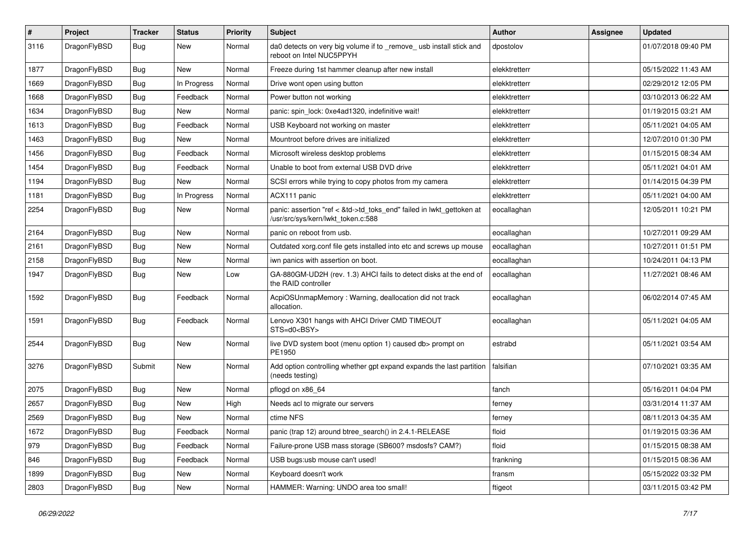| #    | Project      | <b>Tracker</b> | <b>Status</b> | <b>Priority</b> | <b>Subject</b>                                                                                             | Author        | Assignee | <b>Updated</b>      |
|------|--------------|----------------|---------------|-----------------|------------------------------------------------------------------------------------------------------------|---------------|----------|---------------------|
| 3116 | DragonFlyBSD | Bug            | New           | Normal          | da0 detects on very big volume if to _remove_ usb install stick and<br>reboot on Intel NUC5PPYH            | dpostolov     |          | 01/07/2018 09:40 PM |
| 1877 | DragonFlyBSD | <b>Bug</b>     | <b>New</b>    | Normal          | Freeze during 1st hammer cleanup after new install                                                         | elekktretterr |          | 05/15/2022 11:43 AM |
| 1669 | DragonFlyBSD | Bug            | In Progress   | Normal          | Drive wont open using button                                                                               | elekktretterr |          | 02/29/2012 12:05 PM |
| 1668 | DragonFlyBSD | <b>Bug</b>     | Feedback      | Normal          | Power button not working                                                                                   | elekktretterr |          | 03/10/2013 06:22 AM |
| 1634 | DragonFlyBSD | <b>Bug</b>     | New           | Normal          | panic: spin lock: 0xe4ad1320, indefinitive wait!                                                           | elekktretterr |          | 01/19/2015 03:21 AM |
| 1613 | DragonFlyBSD | Bug            | Feedback      | Normal          | USB Keyboard not working on master                                                                         | elekktretterr |          | 05/11/2021 04:05 AM |
| 1463 | DragonFlyBSD | <b>Bug</b>     | New           | Normal          | Mountroot before drives are initialized                                                                    | elekktretterr |          | 12/07/2010 01:30 PM |
| 1456 | DragonFlyBSD | <b>Bug</b>     | Feedback      | Normal          | Microsoft wireless desktop problems                                                                        | elekktretterr |          | 01/15/2015 08:34 AM |
| 1454 | DragonFlyBSD | <b>Bug</b>     | Feedback      | Normal          | Unable to boot from external USB DVD drive                                                                 | elekktretterr |          | 05/11/2021 04:01 AM |
| 1194 | DragonFlyBSD | <b>Bug</b>     | New           | Normal          | SCSI errors while trying to copy photos from my camera                                                     | elekktretterr |          | 01/14/2015 04:39 PM |
| 1181 | DragonFlyBSD | Bug            | In Progress   | Normal          | ACX111 panic                                                                                               | elekktretterr |          | 05/11/2021 04:00 AM |
| 2254 | DragonFlyBSD | Bug            | <b>New</b>    | Normal          | panic: assertion "ref < &td->td_toks_end" failed in lwkt_gettoken at<br>/usr/src/sys/kern/lwkt_token.c:588 | eocallaghan   |          | 12/05/2011 10:21 PM |
| 2164 | DragonFlyBSD | <b>Bug</b>     | <b>New</b>    | Normal          | panic on reboot from usb.                                                                                  | eocallaghan   |          | 10/27/2011 09:29 AM |
| 2161 | DragonFlyBSD | <b>Bug</b>     | New           | Normal          | Outdated xorg.conf file gets installed into etc and screws up mouse                                        | eocallaghan   |          | 10/27/2011 01:51 PM |
| 2158 | DragonFlyBSD | <b>Bug</b>     | New           | Normal          | iwn panics with assertion on boot.                                                                         | eocallaghan   |          | 10/24/2011 04:13 PM |
| 1947 | DragonFlyBSD | <b>Bug</b>     | <b>New</b>    | Low             | GA-880GM-UD2H (rev. 1.3) AHCI fails to detect disks at the end of<br>the RAID controller                   | eocallaghan   |          | 11/27/2021 08:46 AM |
| 1592 | DragonFlyBSD | Bug            | Feedback      | Normal          | AcpiOSUnmapMemory: Warning, deallocation did not track<br>allocation.                                      | eocallaghan   |          | 06/02/2014 07:45 AM |
| 1591 | DragonFlyBSD | Bug            | Feedback      | Normal          | Lenovo X301 hangs with AHCI Driver CMD TIMEOUT<br>STS=d0 <bsy></bsy>                                       | eocallaghan   |          | 05/11/2021 04:05 AM |
| 2544 | DragonFlyBSD | Bug            | <b>New</b>    | Normal          | live DVD system boot (menu option 1) caused db> prompt on<br>PE1950                                        | estrabd       |          | 05/11/2021 03:54 AM |
| 3276 | DragonFlyBSD | Submit         | <b>New</b>    | Normal          | Add option controlling whether gpt expand expands the last partition<br>(needs testing)                    | falsifian     |          | 07/10/2021 03:35 AM |
| 2075 | DragonFlyBSD | Bug            | <b>New</b>    | Normal          | pflogd on x86 64                                                                                           | fanch         |          | 05/16/2011 04:04 PM |
| 2657 | DragonFlyBSD | <b>Bug</b>     | <b>New</b>    | High            | Needs acl to migrate our servers                                                                           | ferney        |          | 03/31/2014 11:37 AM |
| 2569 | DragonFlyBSD | <b>Bug</b>     | New           | Normal          | ctime NFS                                                                                                  | ferney        |          | 08/11/2013 04:35 AM |
| 1672 | DragonFlyBSD | Bug            | Feedback      | Normal          | panic (trap 12) around btree_search() in 2.4.1-RELEASE                                                     | floid         |          | 01/19/2015 03:36 AM |
| 979  | DragonFlyBSD | <b>Bug</b>     | Feedback      | Normal          | Failure-prone USB mass storage (SB600? msdosfs? CAM?)                                                      | floid         |          | 01/15/2015 08:38 AM |
| 846  | DragonFlyBSD | <b>Bug</b>     | Feedback      | Normal          | USB bugs:usb mouse can't used!                                                                             | frankning     |          | 01/15/2015 08:36 AM |
| 1899 | DragonFlyBSD | <b>Bug</b>     | New           | Normal          | Keyboard doesn't work                                                                                      | fransm        |          | 05/15/2022 03:32 PM |
| 2803 | DragonFlyBSD | <b>Bug</b>     | New           | Normal          | HAMMER: Warning: UNDO area too small!                                                                      | ftigeot       |          | 03/11/2015 03:42 PM |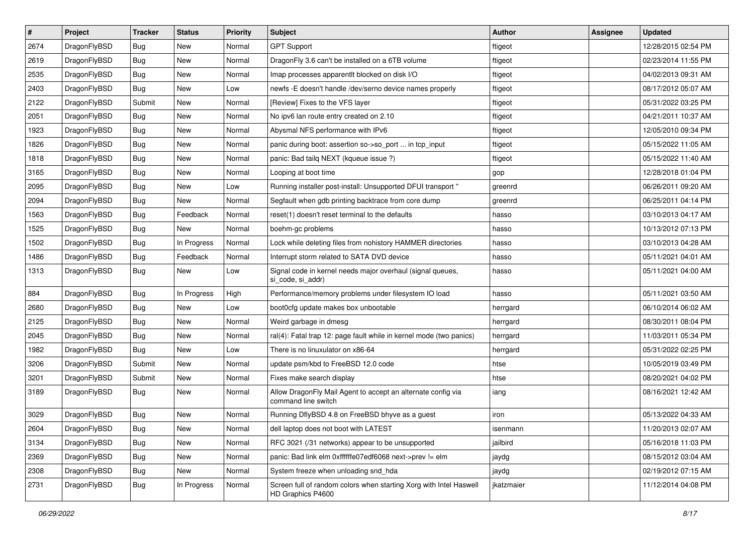| $\sharp$ | Project      | <b>Tracker</b> | <b>Status</b> | <b>Priority</b> | Subject                                                                                 | <b>Author</b> | Assignee | <b>Updated</b>      |
|----------|--------------|----------------|---------------|-----------------|-----------------------------------------------------------------------------------------|---------------|----------|---------------------|
| 2674     | DragonFlyBSD | Bug            | New           | Normal          | <b>GPT Support</b>                                                                      | ftigeot       |          | 12/28/2015 02:54 PM |
| 2619     | DragonFlyBSD | Bug            | <b>New</b>    | Normal          | DragonFly 3.6 can't be installed on a 6TB volume                                        | ftigeot       |          | 02/23/2014 11:55 PM |
| 2535     | DragonFlyBSD | <b>Bug</b>     | <b>New</b>    | Normal          | Imap processes apparentlt blocked on disk I/O                                           | ftigeot       |          | 04/02/2013 09:31 AM |
| 2403     | DragonFlyBSD | <b>Bug</b>     | New           | Low             | newfs - E doesn't handle /dev/serno device names properly                               | ftigeot       |          | 08/17/2012 05:07 AM |
| 2122     | DragonFlyBSD | Submit         | <b>New</b>    | Normal          | [Review] Fixes to the VFS layer                                                         | ftigeot       |          | 05/31/2022 03:25 PM |
| 2051     | DragonFlyBSD | <b>Bug</b>     | New           | Normal          | No ipv6 lan route entry created on 2.10                                                 | ftigeot       |          | 04/21/2011 10:37 AM |
| 1923     | DragonFlyBSD | Bug            | New           | Normal          | Abysmal NFS performance with IPv6                                                       | ftigeot       |          | 12/05/2010 09:34 PM |
| 1826     | DragonFlyBSD | <b>Bug</b>     | <b>New</b>    | Normal          | panic during boot: assertion so->so_port  in tcp_input                                  | ftigeot       |          | 05/15/2022 11:05 AM |
| 1818     | DragonFlyBSD | <b>Bug</b>     | New           | Normal          | panic: Bad tailg NEXT (kqueue issue ?)                                                  | ftigeot       |          | 05/15/2022 11:40 AM |
| 3165     | DragonFlyBSD | Bug            | <b>New</b>    | Normal          | Looping at boot time                                                                    | gop           |          | 12/28/2018 01:04 PM |
| 2095     | DragonFlyBSD | <b>Bug</b>     | New           | Low             | Running installer post-install: Unsupported DFUI transport "                            | greenrd       |          | 06/26/2011 09:20 AM |
| 2094     | DragonFlyBSD | <b>Bug</b>     | <b>New</b>    | Normal          | Segfault when gdb printing backtrace from core dump                                     | greenrd       |          | 06/25/2011 04:14 PM |
| 1563     | DragonFlyBSD | <b>Bug</b>     | Feedback      | Normal          | reset(1) doesn't reset terminal to the defaults                                         | hasso         |          | 03/10/2013 04:17 AM |
| 1525     | DragonFlyBSD | <b>Bug</b>     | <b>New</b>    | Normal          | boehm-gc problems                                                                       | hasso         |          | 10/13/2012 07:13 PM |
| 1502     | DragonFlyBSD | <b>Bug</b>     | In Progress   | Normal          | Lock while deleting files from nohistory HAMMER directories                             | hasso         |          | 03/10/2013 04:28 AM |
| 1486     | DragonFlyBSD | <b>Bug</b>     | Feedback      | Normal          | Interrupt storm related to SATA DVD device                                              | hasso         |          | 05/11/2021 04:01 AM |
| 1313     | DragonFlyBSD | <b>Bug</b>     | New           | Low             | Signal code in kernel needs major overhaul (signal queues,<br>si_code, si_addr)         | hasso         |          | 05/11/2021 04:00 AM |
| 884      | DragonFlyBSD | <b>Bug</b>     | In Progress   | High            | Performance/memory problems under filesystem IO load                                    | hasso         |          | 05/11/2021 03:50 AM |
| 2680     | DragonFlyBSD | <b>Bug</b>     | <b>New</b>    | Low             | boot0cfg update makes box unbootable                                                    | herrgard      |          | 06/10/2014 06:02 AM |
| 2125     | DragonFlyBSD | <b>Bug</b>     | New           | Normal          | Weird garbage in dmesg                                                                  | herrgard      |          | 08/30/2011 08:04 PM |
| 2045     | DragonFlyBSD | <b>Bug</b>     | <b>New</b>    | Normal          | ral(4): Fatal trap 12: page fault while in kernel mode (two panics)                     | herrgard      |          | 11/03/2011 05:34 PM |
| 1982     | DragonFlyBSD | <b>Bug</b>     | <b>New</b>    | Low             | There is no linuxulator on x86-64                                                       | herrgard      |          | 05/31/2022 02:25 PM |
| 3206     | DragonFlyBSD | Submit         | New           | Normal          | update psm/kbd to FreeBSD 12.0 code                                                     | htse          |          | 10/05/2019 03:49 PM |
| 3201     | DragonFlyBSD | Submit         | New           | Normal          | Fixes make search display                                                               | htse          |          | 08/20/2021 04:02 PM |
| 3189     | DragonFlyBSD | <b>Bug</b>     | New           | Normal          | Allow DragonFly Mail Agent to accept an alternate config via<br>command line switch     | iang          |          | 08/16/2021 12:42 AM |
| 3029     | DragonFlyBSD | <b>Bug</b>     | <b>New</b>    | Normal          | Running DflyBSD 4.8 on FreeBSD bhyve as a guest                                         | iron          |          | 05/13/2022 04:33 AM |
| 2604     | DragonFlyBSD | Bug            | New           | Normal          | dell laptop does not boot with LATEST                                                   | isenmann      |          | 11/20/2013 02:07 AM |
| 3134     | DragonFlyBSD | <b>Bug</b>     | <b>New</b>    | Normal          | RFC 3021 (/31 networks) appear to be unsupported                                        | jailbird      |          | 05/16/2018 11:03 PM |
| 2369     | DragonFlyBSD | <b>Bug</b>     | New           | Normal          | panic: Bad link elm 0xffffffe07edf6068 next->prev != elm                                | jaydg         |          | 08/15/2012 03:04 AM |
| 2308     | DragonFlyBSD | <b>Bug</b>     | New           | Normal          | System freeze when unloading snd hda                                                    | jaydg         |          | 02/19/2012 07:15 AM |
| 2731     | DragonFlyBSD | <b>Bug</b>     | In Progress   | Normal          | Screen full of random colors when starting Xorg with Intel Haswell<br>HD Graphics P4600 | jkatzmaier    |          | 11/12/2014 04:08 PM |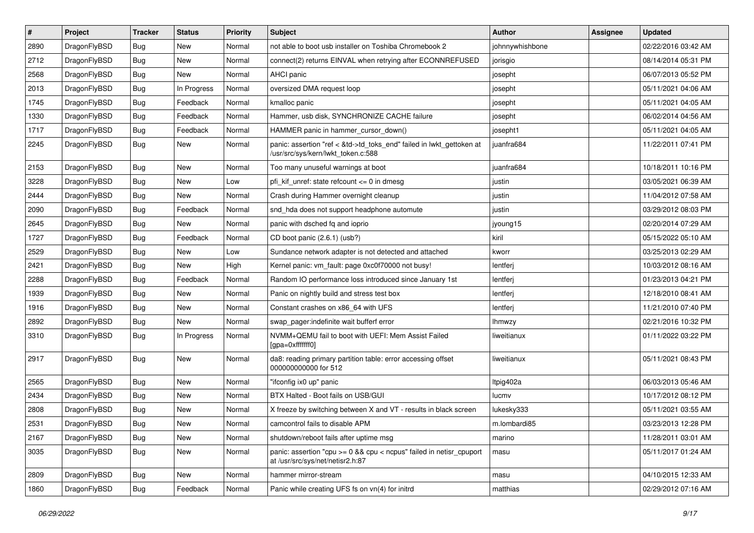| $\sharp$ | Project      | <b>Tracker</b> | <b>Status</b> | <b>Priority</b> | Subject                                                                                                    | Author          | Assignee | <b>Updated</b>      |
|----------|--------------|----------------|---------------|-----------------|------------------------------------------------------------------------------------------------------------|-----------------|----------|---------------------|
| 2890     | DragonFlyBSD | <b>Bug</b>     | New           | Normal          | not able to boot usb installer on Toshiba Chromebook 2                                                     | johnnywhishbone |          | 02/22/2016 03:42 AM |
| 2712     | DragonFlyBSD | <b>Bug</b>     | New           | Normal          | connect(2) returns EINVAL when retrying after ECONNREFUSED                                                 | jorisgio        |          | 08/14/2014 05:31 PM |
| 2568     | DragonFlyBSD | <b>Bug</b>     | New           | Normal          | AHCI panic                                                                                                 | josepht         |          | 06/07/2013 05:52 PM |
| 2013     | DragonFlyBSD | <b>Bug</b>     | In Progress   | Normal          | oversized DMA request loop                                                                                 | josepht         |          | 05/11/2021 04:06 AM |
| 1745     | DragonFlyBSD | <b>Bug</b>     | Feedback      | Normal          | kmalloc panic                                                                                              | josepht         |          | 05/11/2021 04:05 AM |
| 1330     | DragonFlyBSD | <b>Bug</b>     | Feedback      | Normal          | Hammer, usb disk, SYNCHRONIZE CACHE failure                                                                | josepht         |          | 06/02/2014 04:56 AM |
| 1717     | DragonFlyBSD | <b>Bug</b>     | Feedback      | Normal          | HAMMER panic in hammer_cursor_down()                                                                       | josepht1        |          | 05/11/2021 04:05 AM |
| 2245     | DragonFlyBSD | <b>Bug</b>     | <b>New</b>    | Normal          | panic: assertion "ref < &td->td_toks_end" failed in lwkt_gettoken at<br>/usr/src/sys/kern/lwkt_token.c:588 | juanfra684      |          | 11/22/2011 07:41 PM |
| 2153     | DragonFlyBSD | <b>Bug</b>     | <b>New</b>    | Normal          | Too many unuseful warnings at boot                                                                         | juanfra684      |          | 10/18/2011 10:16 PM |
| 3228     | DragonFlyBSD | <b>Bug</b>     | New           | Low             | pfi kif unref: state refcount $\leq$ 0 in dmesg                                                            | justin          |          | 03/05/2021 06:39 AM |
| 2444     | DragonFlyBSD | <b>Bug</b>     | New           | Normal          | Crash during Hammer overnight cleanup                                                                      | justin          |          | 11/04/2012 07:58 AM |
| 2090     | DragonFlyBSD | <b>Bug</b>     | Feedback      | Normal          | snd hda does not support headphone automute                                                                | justin          |          | 03/29/2012 08:03 PM |
| 2645     | DragonFlyBSD | <b>Bug</b>     | New           | Normal          | panic with dsched fq and ioprio                                                                            | jyoung15        |          | 02/20/2014 07:29 AM |
| 1727     | DragonFlyBSD | <b>Bug</b>     | Feedback      | Normal          | CD boot panic (2.6.1) (usb?)                                                                               | kiril           |          | 05/15/2022 05:10 AM |
| 2529     | DragonFlyBSD | <b>Bug</b>     | New           | Low             | Sundance network adapter is not detected and attached                                                      | kworr           |          | 03/25/2013 02:29 AM |
| 2421     | DragonFlyBSD | <b>Bug</b>     | New           | High            | Kernel panic: vm_fault: page 0xc0f70000 not busy!                                                          | lentferj        |          | 10/03/2012 08:16 AM |
| 2288     | DragonFlyBSD | <b>Bug</b>     | Feedback      | Normal          | Random IO performance loss introduced since January 1st                                                    | lentferj        |          | 01/23/2013 04:21 PM |
| 1939     | DragonFlyBSD | <b>Bug</b>     | New           | Normal          | Panic on nightly build and stress test box                                                                 | lentferj        |          | 12/18/2010 08:41 AM |
| 1916     | DragonFlyBSD | <b>Bug</b>     | New           | Normal          | Constant crashes on x86_64 with UFS                                                                        | lentferj        |          | 11/21/2010 07:40 PM |
| 2892     | DragonFlyBSD | <b>Bug</b>     | New           | Normal          | swap pager:indefinite wait bufferf error                                                                   | lhmwzy          |          | 02/21/2016 10:32 PM |
| 3310     | DragonFlyBSD | <b>Bug</b>     | In Progress   | Normal          | NVMM+QEMU fail to boot with UEFI: Mem Assist Failed<br>[gpa=0xfffffff0]                                    | liweitianux     |          | 01/11/2022 03:22 PM |
| 2917     | DragonFlyBSD | <b>Bug</b>     | New           | Normal          | da8: reading primary partition table: error accessing offset<br>000000000000 for 512                       | liweitianux     |          | 05/11/2021 08:43 PM |
| 2565     | DragonFlyBSD | <b>Bug</b>     | <b>New</b>    | Normal          | "ifconfig ix0 up" panic                                                                                    | Itpig402a       |          | 06/03/2013 05:46 AM |
| 2434     | DragonFlyBSD | <b>Bug</b>     | <b>New</b>    | Normal          | BTX Halted - Boot fails on USB/GUI                                                                         | lucmv           |          | 10/17/2012 08:12 PM |
| 2808     | DragonFlyBSD | <b>Bug</b>     | New           | Normal          | X freeze by switching between X and VT - results in black screen                                           | lukesky333      |          | 05/11/2021 03:55 AM |
| 2531     | DragonFlyBSD | Bug            | <b>New</b>    | Normal          | camcontrol fails to disable APM                                                                            | m.lombardi85    |          | 03/23/2013 12:28 PM |
| 2167     | DragonFlyBSD | <b>Bug</b>     | <b>New</b>    | Normal          | shutdown/reboot fails after uptime msg                                                                     | marino          |          | 11/28/2011 03:01 AM |
| 3035     | DragonFlyBSD | Bug            | <b>New</b>    | Normal          | panic: assertion "cpu $>= 0$ && cpu < ncpus" failed in netisr cpuport<br>at /usr/src/sys/net/netisr2.h:87  | masu            |          | 05/11/2017 01:24 AM |
| 2809     | DragonFlyBSD | <b>Bug</b>     | New           | Normal          | hammer mirror-stream                                                                                       | masu            |          | 04/10/2015 12:33 AM |
| 1860     | DragonFlyBSD | <b>Bug</b>     | Feedback      | Normal          | Panic while creating UFS fs on vn(4) for initrd                                                            | matthias        |          | 02/29/2012 07:16 AM |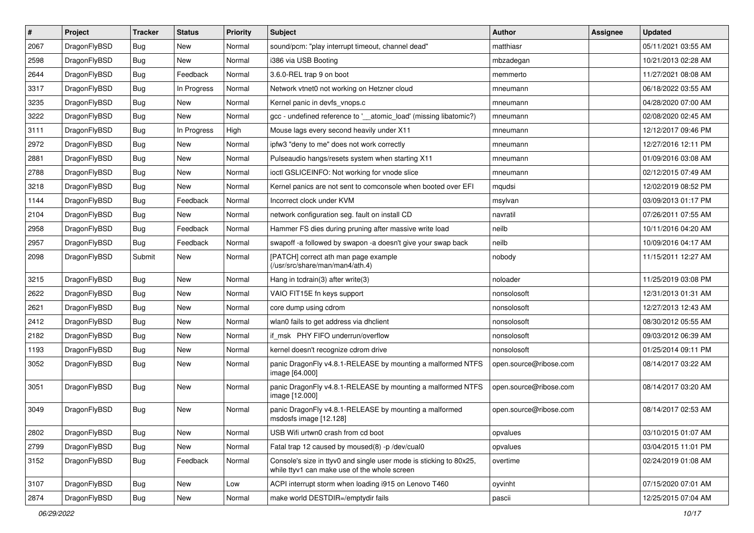| $\vert$ # | Project      | <b>Tracker</b> | <b>Status</b> | <b>Priority</b> | Subject                                                                                                            | Author                 | Assignee | <b>Updated</b>      |
|-----------|--------------|----------------|---------------|-----------------|--------------------------------------------------------------------------------------------------------------------|------------------------|----------|---------------------|
| 2067      | DragonFlyBSD | <b>Bug</b>     | New           | Normal          | sound/pcm: "play interrupt timeout, channel dead"                                                                  | matthiasr              |          | 05/11/2021 03:55 AM |
| 2598      | DragonFlyBSD | <b>Bug</b>     | <b>New</b>    | Normal          | i386 via USB Booting                                                                                               | mbzadegan              |          | 10/21/2013 02:28 AM |
| 2644      | DragonFlyBSD | <b>Bug</b>     | Feedback      | Normal          | 3.6.0-REL trap 9 on boot                                                                                           | memmerto               |          | 11/27/2021 08:08 AM |
| 3317      | DragonFlyBSD | Bug            | In Progress   | Normal          | Network vtnet0 not working on Hetzner cloud                                                                        | mneumann               |          | 06/18/2022 03:55 AM |
| 3235      | DragonFlyBSD | Bug            | <b>New</b>    | Normal          | Kernel panic in devfs vnops.c                                                                                      | mneumann               |          | 04/28/2020 07:00 AM |
| 3222      | DragonFlyBSD | Bug            | New           | Normal          | gcc - undefined reference to '__atomic_load' (missing libatomic?)                                                  | mneumann               |          | 02/08/2020 02:45 AM |
| 3111      | DragonFlyBSD | Bug            | In Progress   | High            | Mouse lags every second heavily under X11                                                                          | mneumann               |          | 12/12/2017 09:46 PM |
| 2972      | DragonFlyBSD | Bug            | <b>New</b>    | Normal          | ipfw3 "deny to me" does not work correctly                                                                         | mneumann               |          | 12/27/2016 12:11 PM |
| 2881      | DragonFlyBSD | Bug            | New           | Normal          | Pulseaudio hangs/resets system when starting X11                                                                   | mneumann               |          | 01/09/2016 03:08 AM |
| 2788      | DragonFlyBSD | Bug            | <b>New</b>    | Normal          | ioctl GSLICEINFO: Not working for vnode slice                                                                      | mneumann               |          | 02/12/2015 07:49 AM |
| 3218      | DragonFlyBSD | Bug            | <b>New</b>    | Normal          | Kernel panics are not sent to comconsole when booted over EFI                                                      | mqudsi                 |          | 12/02/2019 08:52 PM |
| 1144      | DragonFlyBSD | Bug            | Feedback      | Normal          | Incorrect clock under KVM                                                                                          | msylvan                |          | 03/09/2013 01:17 PM |
| 2104      | DragonFlyBSD | Bug            | New           | Normal          | network configuration seg. fault on install CD                                                                     | navratil               |          | 07/26/2011 07:55 AM |
| 2958      | DragonFlyBSD | Bug            | Feedback      | Normal          | Hammer FS dies during pruning after massive write load                                                             | neilb                  |          | 10/11/2016 04:20 AM |
| 2957      | DragonFlyBSD | Bug            | Feedback      | Normal          | swapoff -a followed by swapon -a doesn't give your swap back                                                       | neilb                  |          | 10/09/2016 04:17 AM |
| 2098      | DragonFlyBSD | Submit         | New           | Normal          | [PATCH] correct ath man page example<br>(/usr/src/share/man/man4/ath.4)                                            | nobody                 |          | 11/15/2011 12:27 AM |
| 3215      | DragonFlyBSD | Bug            | <b>New</b>    | Normal          | Hang in tcdrain(3) after write(3)                                                                                  | noloader               |          | 11/25/2019 03:08 PM |
| 2622      | DragonFlyBSD | Bug            | New           | Normal          | VAIO FIT15E fn keys support                                                                                        | nonsolosoft            |          | 12/31/2013 01:31 AM |
| 2621      | DragonFlyBSD | Bug            | <b>New</b>    | Normal          | core dump using cdrom                                                                                              | nonsolosoft            |          | 12/27/2013 12:43 AM |
| 2412      | DragonFlyBSD | Bug            | New           | Normal          | wlan0 fails to get address via dhclient                                                                            | nonsolosoft            |          | 08/30/2012 05:55 AM |
| 2182      | DragonFlyBSD | Bug            | <b>New</b>    | Normal          | if_msk PHY FIFO underrun/overflow                                                                                  | nonsolosoft            |          | 09/03/2012 06:39 AM |
| 1193      | DragonFlyBSD | <b>Bug</b>     | New           | Normal          | kernel doesn't recognize cdrom drive                                                                               | nonsolosoft            |          | 01/25/2014 09:11 PM |
| 3052      | DragonFlyBSD | <b>Bug</b>     | New           | Normal          | panic DragonFly v4.8.1-RELEASE by mounting a malformed NTFS<br>image [64.000]                                      | open.source@ribose.com |          | 08/14/2017 03:22 AM |
| 3051      | DragonFlyBSD | <b>Bug</b>     | New           | Normal          | panic DragonFly v4.8.1-RELEASE by mounting a malformed NTFS<br>image [12.000]                                      | open.source@ribose.com |          | 08/14/2017 03:20 AM |
| 3049      | DragonFlyBSD | <b>Bug</b>     | New           | Normal          | panic DragonFly v4.8.1-RELEASE by mounting a malformed<br>msdosfs image [12.128]                                   | open.source@ribose.com |          | 08/14/2017 02:53 AM |
| 2802      | DragonFlyBSD | <b>Bug</b>     | New           | Normal          | USB Wifi urtwn0 crash from cd boot                                                                                 | opvalues               |          | 03/10/2015 01:07 AM |
| 2799      | DragonFlyBSD | <b>Bug</b>     | New           | Normal          | Fatal trap 12 caused by moused(8) -p /dev/cual0                                                                    | opvalues               |          | 03/04/2015 11:01 PM |
| 3152      | DragonFlyBSD | <b>Bug</b>     | Feedback      | Normal          | Console's size in ttyv0 and single user mode is sticking to 80x25,<br>while ttyv1 can make use of the whole screen | overtime               |          | 02/24/2019 01:08 AM |
| 3107      | DragonFlyBSD | <b>Bug</b>     | New           | Low             | ACPI interrupt storm when loading i915 on Lenovo T460                                                              | oyvinht                |          | 07/15/2020 07:01 AM |
| 2874      | DragonFlyBSD | <b>Bug</b>     | New           | Normal          | make world DESTDIR=/emptydir fails                                                                                 | pascii                 |          | 12/25/2015 07:04 AM |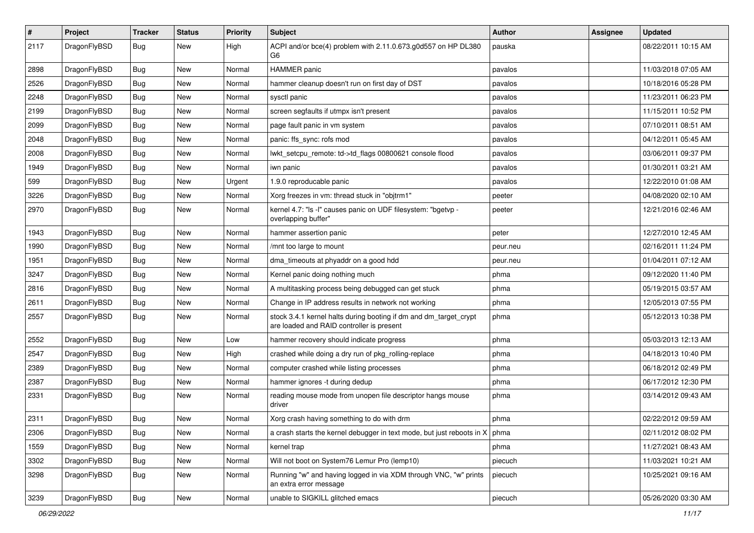| $\sharp$ | Project      | <b>Tracker</b> | <b>Status</b> | <b>Priority</b> | Subject                                                                                                        | <b>Author</b> | Assignee | <b>Updated</b>      |
|----------|--------------|----------------|---------------|-----------------|----------------------------------------------------------------------------------------------------------------|---------------|----------|---------------------|
| 2117     | DragonFlyBSD | Bug            | New           | High            | ACPI and/or bce(4) problem with 2.11.0.673.g0d557 on HP DL380<br>G6                                            | pauska        |          | 08/22/2011 10:15 AM |
| 2898     | DragonFlyBSD | Bug            | <b>New</b>    | Normal          | HAMMER panic                                                                                                   | pavalos       |          | 11/03/2018 07:05 AM |
| 2526     | DragonFlyBSD | <b>Bug</b>     | New           | Normal          | hammer cleanup doesn't run on first day of DST                                                                 | pavalos       |          | 10/18/2016 05:28 PM |
| 2248     | DragonFlyBSD | Bug            | <b>New</b>    | Normal          | sysctl panic                                                                                                   | pavalos       |          | 11/23/2011 06:23 PM |
| 2199     | DragonFlyBSD | <b>Bug</b>     | <b>New</b>    | Normal          | screen segfaults if utmpx isn't present                                                                        | pavalos       |          | 11/15/2011 10:52 PM |
| 2099     | DragonFlyBSD | <b>Bug</b>     | <b>New</b>    | Normal          | page fault panic in vm system                                                                                  | pavalos       |          | 07/10/2011 08:51 AM |
| 2048     | DragonFlyBSD | Bug            | <b>New</b>    | Normal          | panic: ffs_sync: rofs mod                                                                                      | pavalos       |          | 04/12/2011 05:45 AM |
| 2008     | DragonFlyBSD | <b>Bug</b>     | New           | Normal          | lwkt_setcpu_remote: td->td_flags 00800621 console flood                                                        | pavalos       |          | 03/06/2011 09:37 PM |
| 1949     | DragonFlyBSD | Bug            | <b>New</b>    | Normal          | iwn panic                                                                                                      | pavalos       |          | 01/30/2011 03:21 AM |
| 599      | DragonFlyBSD | <b>Bug</b>     | New           | Urgent          | 1.9.0 reproducable panic                                                                                       | pavalos       |          | 12/22/2010 01:08 AM |
| 3226     | DragonFlyBSD | <b>Bug</b>     | <b>New</b>    | Normal          | Xorg freezes in vm: thread stuck in "objtrm1"                                                                  | peeter        |          | 04/08/2020 02:10 AM |
| 2970     | DragonFlyBSD | Bug            | New           | Normal          | kernel 4.7: "Is -I" causes panic on UDF filesystem: "bgetvp -<br>overlapping buffer"                           | peeter        |          | 12/21/2016 02:46 AM |
| 1943     | DragonFlyBSD | Bug            | <b>New</b>    | Normal          | hammer assertion panic                                                                                         | peter         |          | 12/27/2010 12:45 AM |
| 1990     | DragonFlyBSD | <b>Bug</b>     | <b>New</b>    | Normal          | /mnt too large to mount                                                                                        | peur.neu      |          | 02/16/2011 11:24 PM |
| 1951     | DragonFlyBSD | <b>Bug</b>     | New           | Normal          | dma_timeouts at phyaddr on a good hdd                                                                          | peur.neu      |          | 01/04/2011 07:12 AM |
| 3247     | DragonFlyBSD | Bug            | <b>New</b>    | Normal          | Kernel panic doing nothing much                                                                                | phma          |          | 09/12/2020 11:40 PM |
| 2816     | DragonFlyBSD | <b>Bug</b>     | New           | Normal          | A multitasking process being debugged can get stuck                                                            | phma          |          | 05/19/2015 03:57 AM |
| 2611     | DragonFlyBSD | <b>Bug</b>     | New           | Normal          | Change in IP address results in network not working                                                            | phma          |          | 12/05/2013 07:55 PM |
| 2557     | DragonFlyBSD | <b>Bug</b>     | <b>New</b>    | Normal          | stock 3.4.1 kernel halts during booting if dm and dm_target_crypt<br>are loaded and RAID controller is present | phma          |          | 05/12/2013 10:38 PM |
| 2552     | DragonFlyBSD | <b>Bug</b>     | <b>New</b>    | Low             | hammer recovery should indicate progress                                                                       | phma          |          | 05/03/2013 12:13 AM |
| 2547     | DragonFlyBSD | <b>Bug</b>     | <b>New</b>    | High            | crashed while doing a dry run of pkg_rolling-replace                                                           | phma          |          | 04/18/2013 10:40 PM |
| 2389     | DragonFlyBSD | <b>Bug</b>     | New           | Normal          | computer crashed while listing processes                                                                       | phma          |          | 06/18/2012 02:49 PM |
| 2387     | DragonFlyBSD | <b>Bug</b>     | <b>New</b>    | Normal          | hammer ignores -t during dedup                                                                                 | phma          |          | 06/17/2012 12:30 PM |
| 2331     | DragonFlyBSD | <b>Bug</b>     | New           | Normal          | reading mouse mode from unopen file descriptor hangs mouse<br>driver                                           | phma          |          | 03/14/2012 09:43 AM |
| 2311     | DragonFlyBSD | <b>Bug</b>     | <b>New</b>    | Normal          | Xorg crash having something to do with drm                                                                     | phma          |          | 02/22/2012 09:59 AM |
| 2306     | DragonFlyBSD | <b>Bug</b>     | New           | Normal          | a crash starts the kernel debugger in text mode, but just reboots in $X \mid p$ hma                            |               |          | 02/11/2012 08:02 PM |
| 1559     | DragonFlyBSD | <b>Bug</b>     | New           | Normal          | kernel trap                                                                                                    | phma          |          | 11/27/2021 08:43 AM |
| 3302     | DragonFlyBSD | <b>Bug</b>     | New           | Normal          | Will not boot on System76 Lemur Pro (lemp10)                                                                   | piecuch       |          | 11/03/2021 10:21 AM |
| 3298     | DragonFlyBSD | <b>Bug</b>     | New           | Normal          | Running "w" and having logged in via XDM through VNC, "w" prints<br>an extra error message                     | piecuch       |          | 10/25/2021 09:16 AM |
| 3239     | DragonFlyBSD | Bug            | New           | Normal          | unable to SIGKILL glitched emacs                                                                               | piecuch       |          | 05/26/2020 03:30 AM |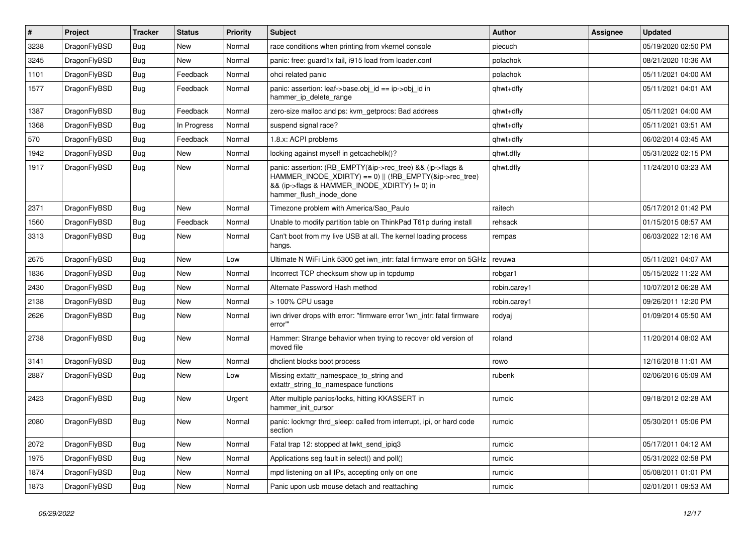| $\vert$ # | Project      | <b>Tracker</b> | <b>Status</b> | <b>Priority</b> | <b>Subject</b>                                                                                                                                                                                    | <b>Author</b> | Assignee | <b>Updated</b>      |
|-----------|--------------|----------------|---------------|-----------------|---------------------------------------------------------------------------------------------------------------------------------------------------------------------------------------------------|---------------|----------|---------------------|
| 3238      | DragonFlyBSD | Bug            | <b>New</b>    | Normal          | race conditions when printing from vkernel console                                                                                                                                                | piecuch       |          | 05/19/2020 02:50 PM |
| 3245      | DragonFlyBSD | Bug            | <b>New</b>    | Normal          | panic: free: guard1x fail, i915 load from loader.conf                                                                                                                                             | polachok      |          | 08/21/2020 10:36 AM |
| 1101      | DragonFlyBSD | Bug            | Feedback      | Normal          | ohci related panic                                                                                                                                                                                | polachok      |          | 05/11/2021 04:00 AM |
| 1577      | DragonFlyBSD | Bug            | Feedback      | Normal          | panic: assertion: leaf->base.obj $id == ip$ ->obj $id$ in<br>hammer ip delete range                                                                                                               | qhwt+dfly     |          | 05/11/2021 04:01 AM |
| 1387      | DragonFlyBSD | Bug            | Feedback      | Normal          | zero-size malloc and ps: kvm getprocs: Bad address                                                                                                                                                | qhwt+dfly     |          | 05/11/2021 04:00 AM |
| 1368      | DragonFlyBSD | <b>Bug</b>     | In Progress   | Normal          | suspend signal race?                                                                                                                                                                              | qhwt+dfly     |          | 05/11/2021 03:51 AM |
| 570       | DragonFlyBSD | <b>Bug</b>     | Feedback      | Normal          | 1.8.x: ACPI problems                                                                                                                                                                              | qhwt+dfly     |          | 06/02/2014 03:45 AM |
| 1942      | DragonFlyBSD | <b>Bug</b>     | <b>New</b>    | Normal          | locking against myself in getcacheblk()?                                                                                                                                                          | qhwt.dfly     |          | 05/31/2022 02:15 PM |
| 1917      | DragonFlyBSD | <b>Bug</b>     | <b>New</b>    | Normal          | panic: assertion: (RB_EMPTY(&ip->rec_tree) && (ip->flags &<br>HAMMER_INODE_XDIRTY) == 0)    (!RB_EMPTY(&ip->rec_tree)<br>&& (ip->flags & HAMMER_INODE_XDIRTY) != 0) in<br>hammer_flush_inode_done | qhwt.dfly     |          | 11/24/2010 03:23 AM |
| 2371      | DragonFlyBSD | <b>Bug</b>     | <b>New</b>    | Normal          | Timezone problem with America/Sao Paulo                                                                                                                                                           | raitech       |          | 05/17/2012 01:42 PM |
| 1560      | DragonFlyBSD | Bug            | Feedback      | Normal          | Unable to modify partition table on ThinkPad T61p during install                                                                                                                                  | rehsack       |          | 01/15/2015 08:57 AM |
| 3313      | DragonFlyBSD | Bug            | <b>New</b>    | Normal          | Can't boot from my live USB at all. The kernel loading process<br>hangs.                                                                                                                          | rempas        |          | 06/03/2022 12:16 AM |
| 2675      | DragonFlyBSD | Bug            | <b>New</b>    | Low             | Ultimate N WiFi Link 5300 get iwn intr: fatal firmware error on 5GHz                                                                                                                              | revuwa        |          | 05/11/2021 04:07 AM |
| 1836      | DragonFlyBSD | Bug            | <b>New</b>    | Normal          | Incorrect TCP checksum show up in tcpdump                                                                                                                                                         | robgar1       |          | 05/15/2022 11:22 AM |
| 2430      | DragonFlyBSD | <b>Bug</b>     | <b>New</b>    | Normal          | Alternate Password Hash method                                                                                                                                                                    | robin.carey1  |          | 10/07/2012 06:28 AM |
| 2138      | DragonFlyBSD | <b>Bug</b>     | <b>New</b>    | Normal          | > 100% CPU usage                                                                                                                                                                                  | robin.carey1  |          | 09/26/2011 12:20 PM |
| 2626      | DragonFlyBSD | <b>Bug</b>     | <b>New</b>    | Normal          | iwn driver drops with error: "firmware error 'iwn intr: fatal firmware<br>error"                                                                                                                  | rodyaj        |          | 01/09/2014 05:50 AM |
| 2738      | DragonFlyBSD | <b>Bug</b>     | <b>New</b>    | Normal          | Hammer: Strange behavior when trying to recover old version of<br>moved file                                                                                                                      | roland        |          | 11/20/2014 08:02 AM |
| 3141      | DragonFlyBSD | Bug            | <b>New</b>    | Normal          | dhclient blocks boot process                                                                                                                                                                      | rowo          |          | 12/16/2018 11:01 AM |
| 2887      | DragonFlyBSD | Bug            | New           | Low             | Missing extattr_namespace_to_string and<br>extattr string to namespace functions                                                                                                                  | rubenk        |          | 02/06/2016 05:09 AM |
| 2423      | DragonFlyBSD | <b>Bug</b>     | New           | Urgent          | After multiple panics/locks, hitting KKASSERT in<br>hammer init cursor                                                                                                                            | rumcic        |          | 09/18/2012 02:28 AM |
| 2080      | DragonFlyBSD | Bug            | <b>New</b>    | Normal          | panic: lockmgr thrd sleep: called from interrupt, ipi, or hard code<br>section                                                                                                                    | rumcic        |          | 05/30/2011 05:06 PM |
| 2072      | DragonFlyBSD | Bug            | <b>New</b>    | Normal          | Fatal trap 12: stopped at lwkt_send_ipiq3                                                                                                                                                         | rumcic        |          | 05/17/2011 04:12 AM |
| 1975      | DragonFlyBSD | Bug            | <b>New</b>    | Normal          | Applications seg fault in select() and poll()                                                                                                                                                     | rumcic        |          | 05/31/2022 02:58 PM |
| 1874      | DragonFlyBSD | <b>Bug</b>     | <b>New</b>    | Normal          | mpd listening on all IPs, accepting only on one                                                                                                                                                   | rumcic        |          | 05/08/2011 01:01 PM |
| 1873      | DragonFlyBSD | Bug            | <b>New</b>    | Normal          | Panic upon usb mouse detach and reattaching                                                                                                                                                       | rumcic        |          | 02/01/2011 09:53 AM |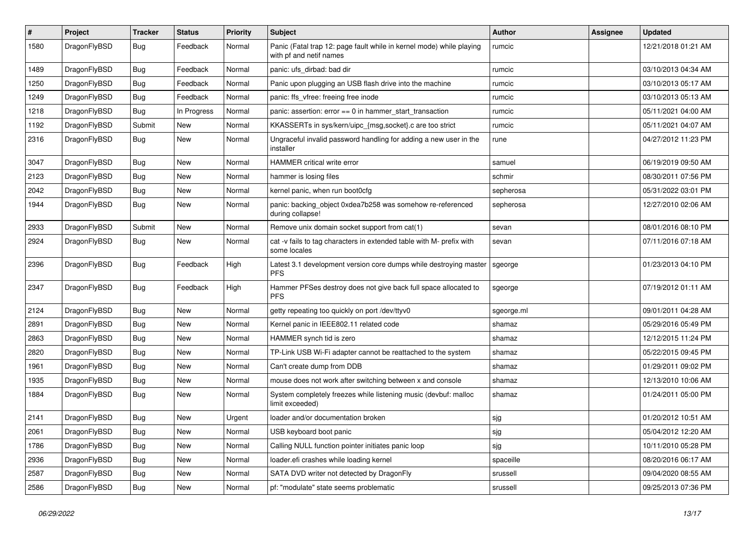| #    | Project      | <b>Tracker</b> | <b>Status</b> | <b>Priority</b> | Subject                                                                                         | Author     | Assignee | <b>Updated</b>      |
|------|--------------|----------------|---------------|-----------------|-------------------------------------------------------------------------------------------------|------------|----------|---------------------|
| 1580 | DragonFlyBSD | Bug            | Feedback      | Normal          | Panic (Fatal trap 12: page fault while in kernel mode) while playing<br>with pf and netif names | rumcic     |          | 12/21/2018 01:21 AM |
| 1489 | DragonFlyBSD | <b>Bug</b>     | Feedback      | Normal          | panic: ufs dirbad: bad dir                                                                      | rumcic     |          | 03/10/2013 04:34 AM |
| 1250 | DragonFlyBSD | Bug            | Feedback      | Normal          | Panic upon plugging an USB flash drive into the machine                                         | rumcic     |          | 03/10/2013 05:17 AM |
| 1249 | DragonFlyBSD | <b>Bug</b>     | Feedback      | Normal          | panic: ffs_vfree: freeing free inode                                                            | rumcic     |          | 03/10/2013 05:13 AM |
| 1218 | DragonFlyBSD | <b>Bug</b>     | In Progress   | Normal          | panic: assertion: $error == 0$ in hammer start transaction                                      | rumcic     |          | 05/11/2021 04:00 AM |
| 1192 | DragonFlyBSD | Submit         | <b>New</b>    | Normal          | KKASSERTs in sys/kern/uipc_{msg,socket}.c are too strict                                        | rumcic     |          | 05/11/2021 04:07 AM |
| 2316 | DragonFlyBSD | <b>Bug</b>     | New           | Normal          | Ungraceful invalid password handling for adding a new user in the<br>installer                  | rune       |          | 04/27/2012 11:23 PM |
| 3047 | DragonFlyBSD | <b>Bug</b>     | <b>New</b>    | Normal          | HAMMER critical write error                                                                     | samuel     |          | 06/19/2019 09:50 AM |
| 2123 | DragonFlyBSD | <b>Bug</b>     | New           | Normal          | hammer is losing files                                                                          | schmir     |          | 08/30/2011 07:56 PM |
| 2042 | DragonFlyBSD | Bug            | New           | Normal          | kernel panic, when run boot0cfg                                                                 | sepherosa  |          | 05/31/2022 03:01 PM |
| 1944 | DragonFlyBSD | Bug            | New           | Normal          | panic: backing_object 0xdea7b258 was somehow re-referenced<br>during collapse!                  | sepherosa  |          | 12/27/2010 02:06 AM |
| 2933 | DragonFlyBSD | Submit         | <b>New</b>    | Normal          | Remove unix domain socket support from cat(1)                                                   | sevan      |          | 08/01/2016 08:10 PM |
| 2924 | DragonFlyBSD | Bug            | New           | Normal          | cat -v fails to tag characters in extended table with M- prefix with<br>some locales            | sevan      |          | 07/11/2016 07:18 AM |
| 2396 | DragonFlyBSD | <b>Bug</b>     | Feedback      | High            | Latest 3.1 development version core dumps while destroying master<br><b>PFS</b>                 | sgeorge    |          | 01/23/2013 04:10 PM |
| 2347 | DragonFlyBSD | <b>Bug</b>     | Feedback      | High            | Hammer PFSes destroy does not give back full space allocated to<br><b>PFS</b>                   | sgeorge    |          | 07/19/2012 01:11 AM |
| 2124 | DragonFlyBSD | Bug            | <b>New</b>    | Normal          | getty repeating too quickly on port /dev/ttyv0                                                  | sgeorge.ml |          | 09/01/2011 04:28 AM |
| 2891 | DragonFlyBSD | Bug            | New           | Normal          | Kernel panic in IEEE802.11 related code                                                         | shamaz     |          | 05/29/2016 05:49 PM |
| 2863 | DragonFlyBSD | Bug            | New           | Normal          | HAMMER synch tid is zero                                                                        | shamaz     |          | 12/12/2015 11:24 PM |
| 2820 | DragonFlyBSD | Bug            | <b>New</b>    | Normal          | TP-Link USB Wi-Fi adapter cannot be reattached to the system                                    | shamaz     |          | 05/22/2015 09:45 PM |
| 1961 | DragonFlyBSD | <b>Bug</b>     | <b>New</b>    | Normal          | Can't create dump from DDB                                                                      | shamaz     |          | 01/29/2011 09:02 PM |
| 1935 | DragonFlyBSD | <b>Bug</b>     | New           | Normal          | mouse does not work after switching between x and console                                       | shamaz     |          | 12/13/2010 10:06 AM |
| 1884 | DragonFlyBSD | Bug            | New           | Normal          | System completely freezes while listening music (devbuf: malloc<br>limit exceeded)              | shamaz     |          | 01/24/2011 05:00 PM |
| 2141 | DragonFlyBSD | <b>Bug</b>     | <b>New</b>    | Urgent          | loader and/or documentation broken                                                              | sjg        |          | 01/20/2012 10:51 AM |
| 2061 | DragonFlyBSD | <b>Bug</b>     | New           | Normal          | USB keyboard boot panic                                                                         | sjg        |          | 05/04/2012 12:20 AM |
| 1786 | DragonFlyBSD | <b>Bug</b>     | New           | Normal          | Calling NULL function pointer initiates panic loop                                              | sjg        |          | 10/11/2010 05:28 PM |
| 2936 | DragonFlyBSD | <b>Bug</b>     | New           | Normal          | loader.efi crashes while loading kernel                                                         | spaceille  |          | 08/20/2016 06:17 AM |
| 2587 | DragonFlyBSD | <b>Bug</b>     | New           | Normal          | SATA DVD writer not detected by DragonFly                                                       | srussell   |          | 09/04/2020 08:55 AM |
| 2586 | DragonFlyBSD | Bug            | New           | Normal          | pf: "modulate" state seems problematic                                                          | srussell   |          | 09/25/2013 07:36 PM |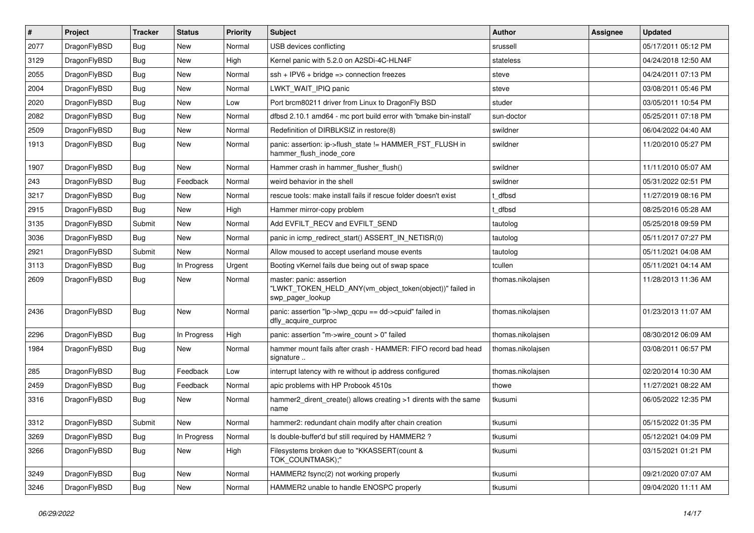| $\sharp$ | Project      | <b>Tracker</b> | <b>Status</b> | Priority | Subject                                                                                                  | Author            | Assignee | <b>Updated</b>      |
|----------|--------------|----------------|---------------|----------|----------------------------------------------------------------------------------------------------------|-------------------|----------|---------------------|
| 2077     | DragonFlyBSD | <b>Bug</b>     | <b>New</b>    | Normal   | USB devices conflicting                                                                                  | srussell          |          | 05/17/2011 05:12 PM |
| 3129     | DragonFlyBSD | <b>Bug</b>     | New           | High     | Kernel panic with 5.2.0 on A2SDi-4C-HLN4F                                                                | stateless         |          | 04/24/2018 12:50 AM |
| 2055     | DragonFlyBSD | <b>Bug</b>     | New           | Normal   | $ssh + IPV6 + bridge \Rightarrow connection freezes$                                                     | steve             |          | 04/24/2011 07:13 PM |
| 2004     | DragonFlyBSD | <b>Bug</b>     | New           | Normal   | LWKT_WAIT_IPIQ panic                                                                                     | steve             |          | 03/08/2011 05:46 PM |
| 2020     | DragonFlyBSD | <b>Bug</b>     | New           | Low      | Port brcm80211 driver from Linux to DragonFly BSD                                                        | studer            |          | 03/05/2011 10:54 PM |
| 2082     | DragonFlyBSD | <b>Bug</b>     | <b>New</b>    | Normal   | dfbsd 2.10.1 amd64 - mc port build error with 'bmake bin-install'                                        | sun-doctor        |          | 05/25/2011 07:18 PM |
| 2509     | DragonFlyBSD | <b>Bug</b>     | New           | Normal   | Redefinition of DIRBLKSIZ in restore(8)                                                                  | swildner          |          | 06/04/2022 04:40 AM |
| 1913     | DragonFlyBSD | <b>Bug</b>     | New           | Normal   | panic: assertion: ip->flush_state != HAMMER_FST_FLUSH in<br>hammer_flush_inode_core                      | swildner          |          | 11/20/2010 05:27 PM |
| 1907     | DragonFlyBSD | <b>Bug</b>     | <b>New</b>    | Normal   | Hammer crash in hammer_flusher_flush()                                                                   | swildner          |          | 11/11/2010 05:07 AM |
| 243      | DragonFlyBSD | <b>Bug</b>     | Feedback      | Normal   | weird behavior in the shell                                                                              | swildner          |          | 05/31/2022 02:51 PM |
| 3217     | DragonFlyBSD | <b>Bug</b>     | New           | Normal   | rescue tools: make install fails if rescue folder doesn't exist                                          | t dfbsd           |          | 11/27/2019 08:16 PM |
| 2915     | DragonFlyBSD | <b>Bug</b>     | New           | High     | Hammer mirror-copy problem                                                                               | t dfbsd           |          | 08/25/2016 05:28 AM |
| 3135     | DragonFlyBSD | Submit         | <b>New</b>    | Normal   | Add EVFILT_RECV and EVFILT_SEND                                                                          | tautolog          |          | 05/25/2018 09:59 PM |
| 3036     | DragonFlyBSD | <b>Bug</b>     | New           | Normal   | panic in icmp_redirect_start() ASSERT_IN_NETISR(0)                                                       | tautolog          |          | 05/11/2017 07:27 PM |
| 2921     | DragonFlyBSD | Submit         | New           | Normal   | Allow moused to accept userland mouse events                                                             | tautolog          |          | 05/11/2021 04:08 AM |
| 3113     | DragonFlyBSD | <b>Bug</b>     | In Progress   | Urgent   | Booting vKernel fails due being out of swap space                                                        | tcullen           |          | 05/11/2021 04:14 AM |
| 2609     | DragonFlyBSD | Bug            | New           | Normal   | master: panic: assertion<br>"LWKT_TOKEN_HELD_ANY(vm_object_token(object))" failed in<br>swp_pager_lookup | thomas.nikolajsen |          | 11/28/2013 11:36 AM |
| 2436     | DragonFlyBSD | Bug            | <b>New</b>    | Normal   | panic: assertion "lp->lwp_qcpu == dd->cpuid" failed in<br>dfly_acquire_curproc                           | thomas.nikolajsen |          | 01/23/2013 11:07 AM |
| 2296     | DragonFlyBSD | Bug            | In Progress   | High     | panic: assertion "m->wire_count > 0" failed                                                              | thomas.nikolajsen |          | 08/30/2012 06:09 AM |
| 1984     | DragonFlyBSD | Bug            | <b>New</b>    | Normal   | hammer mount fails after crash - HAMMER: FIFO record bad head<br>signature                               | thomas.nikolajsen |          | 03/08/2011 06:57 PM |
| 285      | DragonFlyBSD | Bug            | Feedback      | Low      | interrupt latency with re without ip address configured                                                  | thomas.nikolajsen |          | 02/20/2014 10:30 AM |
| 2459     | DragonFlyBSD | Bug            | Feedback      | Normal   | apic problems with HP Probook 4510s                                                                      | thowe             |          | 11/27/2021 08:22 AM |
| 3316     | DragonFlyBSD | Bug            | <b>New</b>    | Normal   | hammer2 dirent create() allows creating >1 dirents with the same<br>name                                 | tkusumi           |          | 06/05/2022 12:35 PM |
| 3312     | DragonFlyBSD | Submit         | <b>New</b>    | Normal   | hammer2: redundant chain modify after chain creation                                                     | tkusumi           |          | 05/15/2022 01:35 PM |
| 3269     | DragonFlyBSD | <b>Bug</b>     | In Progress   | Normal   | Is double-buffer'd buf still required by HAMMER2 ?                                                       | tkusumi           |          | 05/12/2021 04:09 PM |
| 3266     | DragonFlyBSD | <b>Bug</b>     | New           | High     | Filesystems broken due to "KKASSERT(count &<br>TOK_COUNTMASK);"                                          | tkusumi           |          | 03/15/2021 01:21 PM |
| 3249     | DragonFlyBSD | <b>Bug</b>     | <b>New</b>    | Normal   | HAMMER2 fsync(2) not working properly                                                                    | tkusumi           |          | 09/21/2020 07:07 AM |
| 3246     | DragonFlyBSD | <b>Bug</b>     | New           | Normal   | HAMMER2 unable to handle ENOSPC properly                                                                 | tkusumi           |          | 09/04/2020 11:11 AM |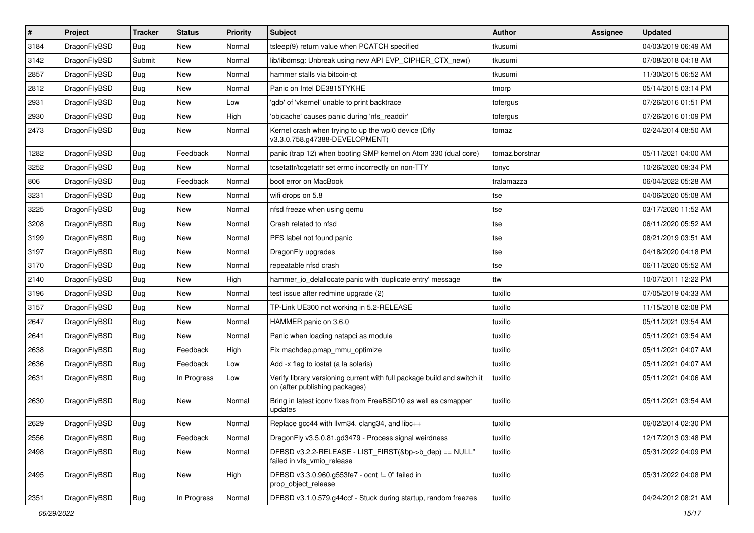| $\vert$ # | Project      | <b>Tracker</b> | <b>Status</b> | <b>Priority</b> | Subject                                                                                                   | Author         | Assignee | <b>Updated</b>      |
|-----------|--------------|----------------|---------------|-----------------|-----------------------------------------------------------------------------------------------------------|----------------|----------|---------------------|
| 3184      | DragonFlyBSD | Bug            | New           | Normal          | tsleep(9) return value when PCATCH specified                                                              | tkusumi        |          | 04/03/2019 06:49 AM |
| 3142      | DragonFlyBSD | Submit         | <b>New</b>    | Normal          | lib/libdmsg: Unbreak using new API EVP_CIPHER_CTX_new()                                                   | tkusumi        |          | 07/08/2018 04:18 AM |
| 2857      | DragonFlyBSD | Bug            | New           | Normal          | hammer stalls via bitcoin-qt                                                                              | tkusumi        |          | 11/30/2015 06:52 AM |
| 2812      | DragonFlyBSD | Bug            | New           | Normal          | Panic on Intel DE3815TYKHE                                                                                | tmorp          |          | 05/14/2015 03:14 PM |
| 2931      | DragonFlyBSD | Bug            | <b>New</b>    | Low             | 'gdb' of 'vkernel' unable to print backtrace                                                              | tofergus       |          | 07/26/2016 01:51 PM |
| 2930      | DragonFlyBSD | Bug            | New           | High            | 'objcache' causes panic during 'nfs_readdir'                                                              | tofergus       |          | 07/26/2016 01:09 PM |
| 2473      | DragonFlyBSD | Bug            | New           | Normal          | Kernel crash when trying to up the wpi0 device (Dfly<br>v3.3.0.758.g47388-DEVELOPMENT)                    | tomaz          |          | 02/24/2014 08:50 AM |
| 1282      | DragonFlyBSD | <b>Bug</b>     | Feedback      | Normal          | panic (trap 12) when booting SMP kernel on Atom 330 (dual core)                                           | tomaz.borstnar |          | 05/11/2021 04:00 AM |
| 3252      | DragonFlyBSD | <b>Bug</b>     | New           | Normal          | tcsetattr/tcgetattr set errno incorrectly on non-TTY                                                      | tonyc          |          | 10/26/2020 09:34 PM |
| 806       | DragonFlyBSD | <b>Bug</b>     | Feedback      | Normal          | boot error on MacBook                                                                                     | tralamazza     |          | 06/04/2022 05:28 AM |
| 3231      | DragonFlyBSD | <b>Bug</b>     | New           | Normal          | wifi drops on 5.8                                                                                         | tse            |          | 04/06/2020 05:08 AM |
| 3225      | DragonFlyBSD | <b>Bug</b>     | <b>New</b>    | Normal          | nfsd freeze when using gemu                                                                               | tse            |          | 03/17/2020 11:52 AM |
| 3208      | DragonFlyBSD | <b>Bug</b>     | <b>New</b>    | Normal          | Crash related to nfsd                                                                                     | tse            |          | 06/11/2020 05:52 AM |
| 3199      | DragonFlyBSD | <b>Bug</b>     | New           | Normal          | PFS label not found panic                                                                                 | tse            |          | 08/21/2019 03:51 AM |
| 3197      | DragonFlyBSD | <b>Bug</b>     | New           | Normal          | DragonFly upgrades                                                                                        | tse            |          | 04/18/2020 04:18 PM |
| 3170      | DragonFlyBSD | <b>Bug</b>     | New           | Normal          | repeatable nfsd crash                                                                                     | tse            |          | 06/11/2020 05:52 AM |
| 2140      | DragonFlyBSD | <b>Bug</b>     | New           | High            | hammer_io_delallocate panic with 'duplicate entry' message                                                | ttw            |          | 10/07/2011 12:22 PM |
| 3196      | DragonFlyBSD | <b>Bug</b>     | New           | Normal          | test issue after redmine upgrade (2)                                                                      | tuxillo        |          | 07/05/2019 04:33 AM |
| 3157      | DragonFlyBSD | <b>Bug</b>     | New           | Normal          | TP-Link UE300 not working in 5.2-RELEASE                                                                  | tuxillo        |          | 11/15/2018 02:08 PM |
| 2647      | DragonFlyBSD | <b>Bug</b>     | New           | Normal          | HAMMER panic on 3.6.0                                                                                     | tuxillo        |          | 05/11/2021 03:54 AM |
| 2641      | DragonFlyBSD | <b>Bug</b>     | New           | Normal          | Panic when loading natapci as module                                                                      | tuxillo        |          | 05/11/2021 03:54 AM |
| 2638      | DragonFlyBSD | <b>Bug</b>     | Feedback      | High            | Fix machdep.pmap_mmu_optimize                                                                             | tuxillo        |          | 05/11/2021 04:07 AM |
| 2636      | DragonFlyBSD | <b>Bug</b>     | Feedback      | Low             | Add -x flag to iostat (a la solaris)                                                                      | tuxillo        |          | 05/11/2021 04:07 AM |
| 2631      | DragonFlyBSD | <b>Bug</b>     | In Progress   | Low             | Verify library versioning current with full package build and switch it<br>on (after publishing packages) | tuxillo        |          | 05/11/2021 04:06 AM |
| 2630      | DragonFlyBSD | <b>Bug</b>     | New           | Normal          | Bring in latest iconv fixes from FreeBSD10 as well as csmapper<br>updates                                 | tuxillo        |          | 05/11/2021 03:54 AM |
| 2629      | DragonFlyBSD | Bug            | New           | Normal          | Replace gcc44 with llvm34, clang34, and libc++                                                            | tuxillo        |          | 06/02/2014 02:30 PM |
| 2556      | DragonFlyBSD | <b>Bug</b>     | Feedback      | Normal          | DragonFly v3.5.0.81.gd3479 - Process signal weirdness                                                     | tuxillo        |          | 12/17/2013 03:48 PM |
| 2498      | DragonFlyBSD | Bug            | New           | Normal          | DFBSD v3.2.2-RELEASE - LIST_FIRST(&bp->b_dep) == NULL"<br>failed in vfs_vmio_release                      | tuxillo        |          | 05/31/2022 04:09 PM |
| 2495      | DragonFlyBSD | Bug            | New           | High            | DFBSD v3.3.0.960.g553fe7 - ocnt != 0" failed in<br>prop_object_release                                    | tuxillo        |          | 05/31/2022 04:08 PM |
| 2351      | DragonFlyBSD | <b>Bug</b>     | In Progress   | Normal          | DFBSD v3.1.0.579.g44ccf - Stuck during startup, random freezes                                            | tuxillo        |          | 04/24/2012 08:21 AM |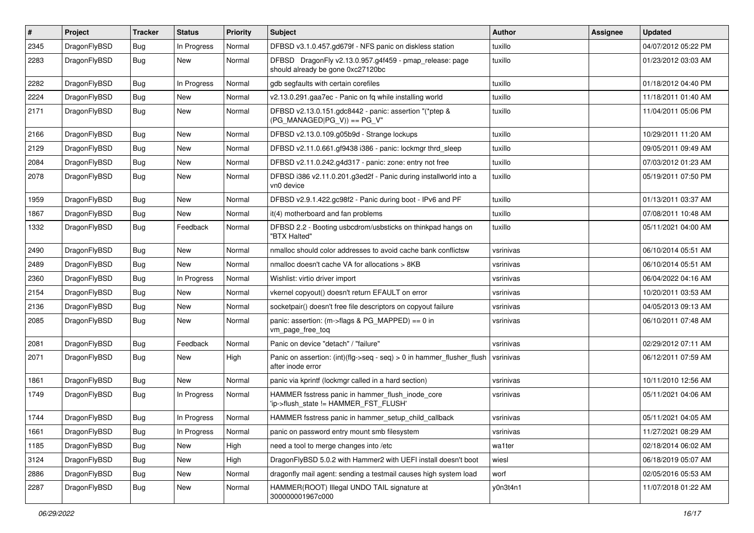| #    | Project      | <b>Tracker</b> | <b>Status</b> | <b>Priority</b> | <b>Subject</b>                                                                               | Author    | Assignee | <b>Updated</b>      |
|------|--------------|----------------|---------------|-----------------|----------------------------------------------------------------------------------------------|-----------|----------|---------------------|
| 2345 | DragonFlyBSD | Bug            | In Progress   | Normal          | DFBSD v3.1.0.457.gd679f - NFS panic on diskless station                                      | tuxillo   |          | 04/07/2012 05:22 PM |
| 2283 | DragonFlyBSD | <b>Bug</b>     | New           | Normal          | DFBSD DragonFly v2.13.0.957.g4f459 - pmap_release: page<br>should already be gone 0xc27120bc | tuxillo   |          | 01/23/2012 03:03 AM |
| 2282 | DragonFlyBSD | <b>Bug</b>     | In Progress   | Normal          | gdb segfaults with certain corefiles                                                         | tuxillo   |          | 01/18/2012 04:40 PM |
| 2224 | DragonFlyBSD | <b>Bug</b>     | New           | Normal          | v2.13.0.291.gaa7ec - Panic on fq while installing world                                      | tuxillo   |          | 11/18/2011 01:40 AM |
| 2171 | DragonFlyBSD | <b>Bug</b>     | New           | Normal          | DFBSD v2.13.0.151.gdc8442 - panic: assertion "(*ptep &<br>$(PG_MANAGED PG_V)) == PG_V"$      | tuxillo   |          | 11/04/2011 05:06 PM |
| 2166 | DragonFlyBSD | <b>Bug</b>     | New           | Normal          | DFBSD v2.13.0.109.g05b9d - Strange lockups                                                   | tuxillo   |          | 10/29/2011 11:20 AM |
| 2129 | DragonFlyBSD | Bug            | <b>New</b>    | Normal          | DFBSD v2.11.0.661.gf9438 i386 - panic: lockmgr thrd sleep                                    | tuxillo   |          | 09/05/2011 09:49 AM |
| 2084 | DragonFlyBSD | <b>Bug</b>     | <b>New</b>    | Normal          | DFBSD v2.11.0.242.g4d317 - panic: zone: entry not free                                       | tuxillo   |          | 07/03/2012 01:23 AM |
| 2078 | DragonFlyBSD | Bug            | New           | Normal          | DFBSD i386 v2.11.0.201.g3ed2f - Panic during installworld into a<br>vn0 device               | tuxillo   |          | 05/19/2011 07:50 PM |
| 1959 | DragonFlyBSD | Bug            | <b>New</b>    | Normal          | DFBSD v2.9.1.422.gc98f2 - Panic during boot - IPv6 and PF                                    | tuxillo   |          | 01/13/2011 03:37 AM |
| 1867 | DragonFlyBSD | <b>Bug</b>     | New           | Normal          | it(4) motherboard and fan problems                                                           | tuxillo   |          | 07/08/2011 10:48 AM |
| 1332 | DragonFlyBSD | <b>Bug</b>     | Feedback      | Normal          | DFBSD 2.2 - Booting usbcdrom/usbsticks on thinkpad hangs on<br>"BTX Halted"                  | tuxillo   |          | 05/11/2021 04:00 AM |
| 2490 | DragonFlyBSD | Bug            | <b>New</b>    | Normal          | nmalloc should color addresses to avoid cache bank conflictsw                                | vsrinivas |          | 06/10/2014 05:51 AM |
| 2489 | DragonFlyBSD | <b>Bug</b>     | New           | Normal          | nmalloc doesn't cache VA for allocations > 8KB                                               | vsrinivas |          | 06/10/2014 05:51 AM |
| 2360 | DragonFlyBSD | <b>Bug</b>     | In Progress   | Normal          | Wishlist: virtio driver import                                                               | vsrinivas |          | 06/04/2022 04:16 AM |
| 2154 | DragonFlyBSD | Bug            | New           | Normal          | vkernel copyout() doesn't return EFAULT on error                                             | vsrinivas |          | 10/20/2011 03:53 AM |
| 2136 | DragonFlyBSD | <b>Bug</b>     | New           | Normal          | socketpair() doesn't free file descriptors on copyout failure                                | vsrinivas |          | 04/05/2013 09:13 AM |
| 2085 | DragonFlyBSD | Bug            | New           | Normal          | panic: assertion: (m->flags & PG_MAPPED) == 0 in<br>vm_page_free_toq                         | vsrinivas |          | 06/10/2011 07:48 AM |
| 2081 | DragonFlyBSD | Bug            | Feedback      | Normal          | Panic on device "detach" / "failure"                                                         | vsrinivas |          | 02/29/2012 07:11 AM |
| 2071 | DragonFlyBSD | Bug            | New           | High            | Panic on assertion: (int)(flg->seq - seq) > 0 in hammer_flusher_flush<br>after inode error   | vsrinivas |          | 06/12/2011 07:59 AM |
| 1861 | DragonFlyBSD | Bug            | New           | Normal          | panic via kprintf (lockmgr called in a hard section)                                         | vsrinivas |          | 10/11/2010 12:56 AM |
| 1749 | DragonFlyBSD | Bug            | In Progress   | Normal          | HAMMER fsstress panic in hammer flush inode core<br>'ip->flush state != HAMMER FST FLUSH'    | vsrinivas |          | 05/11/2021 04:06 AM |
| 1744 | DragonFlyBSD | <b>Bug</b>     | In Progress   | Normal          | HAMMER fsstress panic in hammer setup child callback                                         | vsrinivas |          | 05/11/2021 04:05 AM |
| 1661 | DragonFlyBSD | Bug            | In Progress   | Normal          | panic on password entry mount smb filesystem                                                 | vsrinivas |          | 11/27/2021 08:29 AM |
| 1185 | DragonFlyBSD | Bug            | New           | High            | need a tool to merge changes into /etc                                                       | wa1ter    |          | 02/18/2014 06:02 AM |
| 3124 | DragonFlyBSD | <b>Bug</b>     | New           | High            | DragonFlyBSD 5.0.2 with Hammer2 with UEFI install doesn't boot                               | wiesl     |          | 06/18/2019 05:07 AM |
| 2886 | DragonFlyBSD | <b>Bug</b>     | New           | Normal          | dragonfly mail agent: sending a testmail causes high system load                             | worf      |          | 02/05/2016 05:53 AM |
| 2287 | DragonFlyBSD | <b>Bug</b>     | New           | Normal          | HAMMER(ROOT) Illegal UNDO TAIL signature at<br>300000001967c000                              | y0n3t4n1  |          | 11/07/2018 01:22 AM |